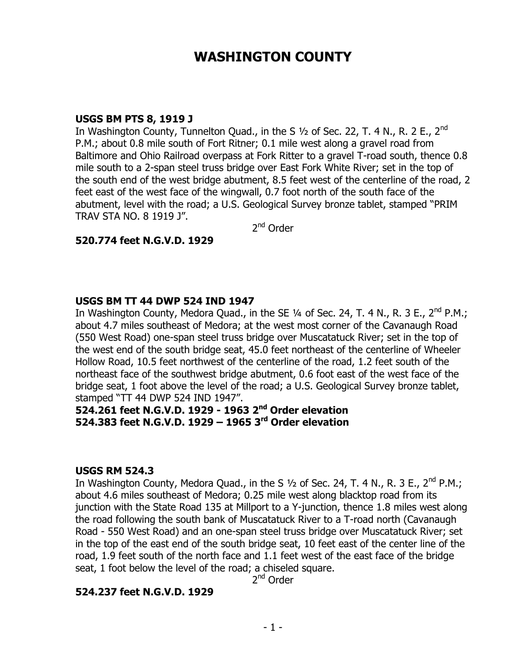# **WASHINGTON COUNTY**

#### **USGS BM PTS 8, 1919 J**

In Washington County, Tunnelton Quad., in the S  $1/2$  of Sec. 22, T. 4 N., R. 2 E., 2<sup>nd</sup> P.M.; about 0.8 mile south of Fort Ritner; 0.1 mile west along a gravel road from Baltimore and Ohio Railroad overpass at Fork Ritter to a gravel T-road south, thence 0.8 mile south to a 2-span steel truss bridge over East Fork White River; set in the top of the south end of the west bridge abutment, 8.5 feet west of the centerline of the road, 2 feet east of the west face of the wingwall, 0.7 foot north of the south face of the abutment, level with the road; a U.S. Geological Survey bronze tablet, stamped "PRIM TRAV STA NO. 8 1919 J".

2<sup>nd</sup> Order

### **520.774 feet N.G.V.D. 1929**

#### **USGS BM TT 44 DWP 524 IND 1947**

In Washington County, Medora Quad., in the SE 1/4 of Sec. 24, T. 4 N., R. 3 E., 2<sup>nd</sup> P.M.; about 4.7 miles southeast of Medora; at the west most corner of the Cavanaugh Road (550 West Road) one-span steel truss bridge over Muscatatuck River; set in the top of the west end of the south bridge seat, 45.0 feet northeast of the centerline of Wheeler Hollow Road, 10.5 feet northwest of the centerline of the road, 1.2 feet south of the northeast face of the southwest bridge abutment, 0.6 foot east of the west face of the bridge seat, 1 foot above the level of the road; a U.S. Geological Survey bronze tablet, stamped "TT 44 DWP 524 IND 1947".

## **524.261 feet N.G.V.D. 1929 - 1963 2nd Order elevation 524.383 feet N.G.V.D. 1929 – 1965 3rd Order elevation**

#### **USGS RM 524.3**

In Washington County, Medora Quad., in the S  $\frac{1}{2}$  of Sec. 24, T. 4 N., R. 3 E., 2<sup>nd</sup> P.M.; about 4.6 miles southeast of Medora; 0.25 mile west along blacktop road from its junction with the State Road 135 at Millport to a Y-junction, thence 1.8 miles west along the road following the south bank of Muscatatuck River to a T-road north (Cavanaugh Road - 550 West Road) and an one-span steel truss bridge over Muscatatuck River; set in the top of the east end of the south bridge seat, 10 feet east of the center line of the road, 1.9 feet south of the north face and 1.1 feet west of the east face of the bridge seat, 1 foot below the level of the road; a chiseled square.

2<sup>nd</sup> Order

### **524.237 feet N.G.V.D. 1929**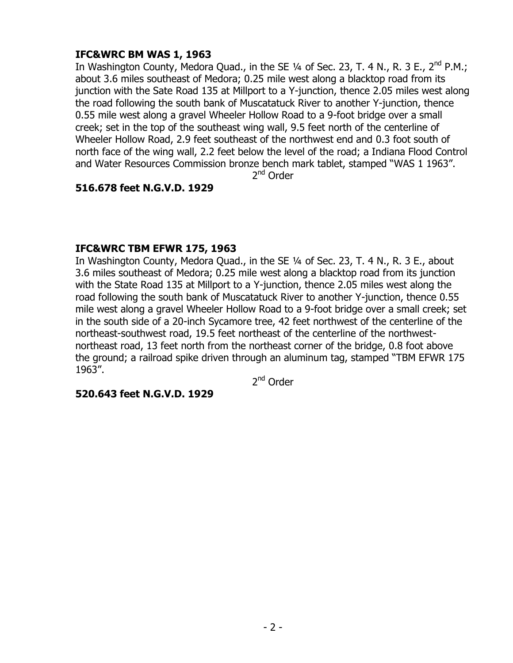## **IFC&WRC BM WAS 1, 1963**

In Washington County, Medora Quad., in the SE  $\frac{1}{4}$  of Sec. 23, T. 4 N., R. 3 E., 2<sup>nd</sup> P.M.; about 3.6 miles southeast of Medora; 0.25 mile west along a blacktop road from its junction with the Sate Road 135 at Millport to a Y-junction, thence 2.05 miles west along the road following the south bank of Muscatatuck River to another Y-junction, thence 0.55 mile west along a gravel Wheeler Hollow Road to a 9-foot bridge over a small creek; set in the top of the southeast wing wall, 9.5 feet north of the centerline of Wheeler Hollow Road, 2.9 feet southeast of the northwest end and 0.3 foot south of north face of the wing wall, 2.2 feet below the level of the road; a Indiana Flood Control and Water Resources Commission bronze bench mark tablet, stamped "WAS 1 1963".

2<sup>nd</sup> Order

## **516.678 feet N.G.V.D. 1929**

## **IFC&WRC TBM EFWR 175, 1963**

In Washington County, Medora Quad., in the SE 1/4 of Sec. 23, T. 4 N., R. 3 E., about 3.6 miles southeast of Medora; 0.25 mile west along a blacktop road from its junction with the State Road 135 at Millport to a Y-junction, thence 2.05 miles west along the road following the south bank of Muscatatuck River to another Y-junction, thence 0.55 mile west along a gravel Wheeler Hollow Road to a 9-foot bridge over a small creek; set in the south side of a 20-inch Sycamore tree, 42 feet northwest of the centerline of the northeast-southwest road, 19.5 feet northeast of the centerline of the northwestnortheast road, 13 feet north from the northeast corner of the bridge, 0.8 foot above the ground; a railroad spike driven through an aluminum tag, stamped "TBM EFWR 175 1963".

2<sup>nd</sup> Order

### **520.643 feet N.G.V.D. 1929**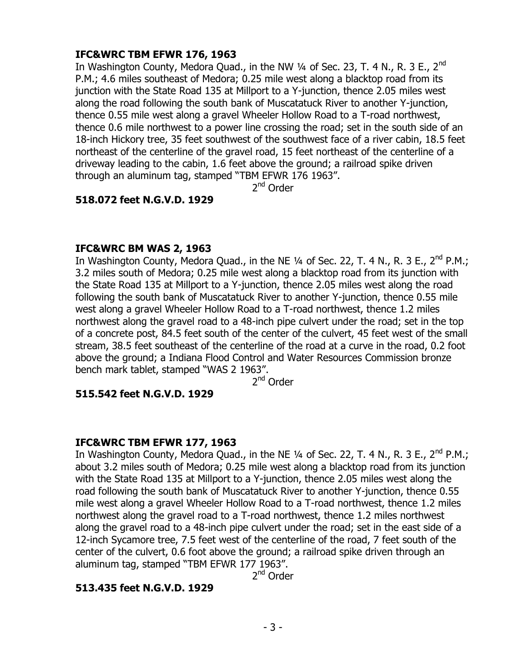## **IFC&WRC TBM EFWR 176, 1963**

In Washington County, Medora Quad., in the NW  $\frac{1}{4}$  of Sec. 23, T. 4 N., R. 3 E., 2<sup>nd</sup> P.M.; 4.6 miles southeast of Medora; 0.25 mile west along a blacktop road from its junction with the State Road 135 at Millport to a Y-junction, thence 2.05 miles west along the road following the south bank of Muscatatuck River to another Y-junction, thence 0.55 mile west along a gravel Wheeler Hollow Road to a T-road northwest, thence 0.6 mile northwest to a power line crossing the road; set in the south side of an 18-inch Hickory tree, 35 feet southwest of the southwest face of a river cabin, 18.5 feet northeast of the centerline of the gravel road, 15 feet northeast of the centerline of a driveway leading to the cabin, 1.6 feet above the ground; a railroad spike driven through an aluminum tag, stamped "TBM EFWR 176 1963".

2<sup>nd</sup> Order

### **518.072 feet N.G.V.D. 1929**

### **IFC&WRC BM WAS 2, 1963**

In Washington County, Medora Quad., in the NE  $\frac{1}{4}$  of Sec. 22, T. 4 N., R. 3 E., 2<sup>nd</sup> P.M.; 3.2 miles south of Medora; 0.25 mile west along a blacktop road from its junction with the State Road 135 at Millport to a Y-junction, thence 2.05 miles west along the road following the south bank of Muscatatuck River to another Y-junction, thence 0.55 mile west along a gravel Wheeler Hollow Road to a T-road northwest, thence 1.2 miles northwest along the gravel road to a 48-inch pipe culvert under the road; set in the top of a concrete post, 84.5 feet south of the center of the culvert, 45 feet west of the small stream, 38.5 feet southeast of the centerline of the road at a curve in the road, 0.2 foot above the ground; a Indiana Flood Control and Water Resources Commission bronze bench mark tablet, stamped "WAS 2 1963".

2<sup>nd</sup> Order

### **515.542 feet N.G.V.D. 1929**

## **IFC&WRC TBM EFWR 177, 1963**

In Washington County, Medora Quad., in the NE  $\frac{1}{4}$  of Sec. 22, T. 4 N., R. 3 E., 2<sup>nd</sup> P.M.; about 3.2 miles south of Medora; 0.25 mile west along a blacktop road from its junction with the State Road 135 at Millport to a Y-junction, thence 2.05 miles west along the road following the south bank of Muscatatuck River to another Y-junction, thence 0.55 mile west along a gravel Wheeler Hollow Road to a T-road northwest, thence 1.2 miles northwest along the gravel road to a T-road northwest, thence 1.2 miles northwest along the gravel road to a 48-inch pipe culvert under the road; set in the east side of a 12-inch Sycamore tree, 7.5 feet west of the centerline of the road, 7 feet south of the center of the culvert, 0.6 foot above the ground; a railroad spike driven through an aluminum tag, stamped "TBM EFWR 177 1963".

2<sup>nd</sup> Order

## **513.435 feet N.G.V.D. 1929**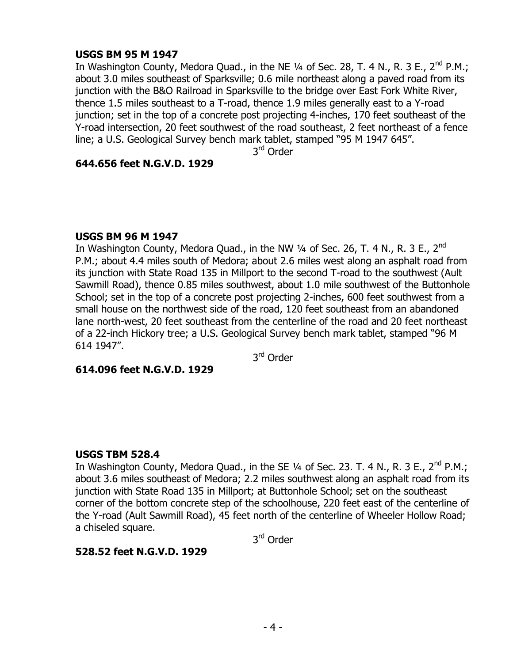### **USGS BM 95 M 1947**

In Washington County, Medora Quad., in the NE  $\frac{1}{4}$  of Sec. 28, T. 4 N., R. 3 E., 2<sup>nd</sup> P.M.; about 3.0 miles southeast of Sparksville; 0.6 mile northeast along a paved road from its junction with the B&O Railroad in Sparksville to the bridge over East Fork White River, thence 1.5 miles southeast to a T-road, thence 1.9 miles generally east to a Y-road junction; set in the top of a concrete post projecting 4-inches, 170 feet southeast of the Y-road intersection, 20 feet southwest of the road southeast, 2 feet northeast of a fence line; a U.S. Geological Survey bench mark tablet, stamped "95 M 1947 645".

3<sup>rd</sup> Order

### **644.656 feet N.G.V.D. 1929**

### **USGS BM 96 M 1947**

In Washington County, Medora Quad., in the NW  $\frac{1}{4}$  of Sec. 26, T. 4 N., R. 3 E., 2<sup>nd</sup> P.M.; about 4.4 miles south of Medora; about 2.6 miles west along an asphalt road from its junction with State Road 135 in Millport to the second T-road to the southwest (Ault Sawmill Road), thence 0.85 miles southwest, about 1.0 mile southwest of the Buttonhole School; set in the top of a concrete post projecting 2-inches, 600 feet southwest from a small house on the northwest side of the road, 120 feet southeast from an abandoned lane north-west, 20 feet southeast from the centerline of the road and 20 feet northeast of a 22-inch Hickory tree; a U.S. Geological Survey bench mark tablet, stamped "96 M 614 1947".

3<sup>rd</sup> Order

**614.096 feet N.G.V.D. 1929**

## **USGS TBM 528.4**

In Washington County, Medora Quad., in the SE  $\frac{1}{4}$  of Sec. 23. T. 4 N., R. 3 E., 2<sup>nd</sup> P.M.; about 3.6 miles southeast of Medora; 2.2 miles southwest along an asphalt road from its junction with State Road 135 in Millport; at Buttonhole School; set on the southeast corner of the bottom concrete step of the schoolhouse, 220 feet east of the centerline of the Y-road (Ault Sawmill Road), 45 feet north of the centerline of Wheeler Hollow Road; a chiseled square.

3<sup>rd</sup> Order

## **528.52 feet N.G.V.D. 1929**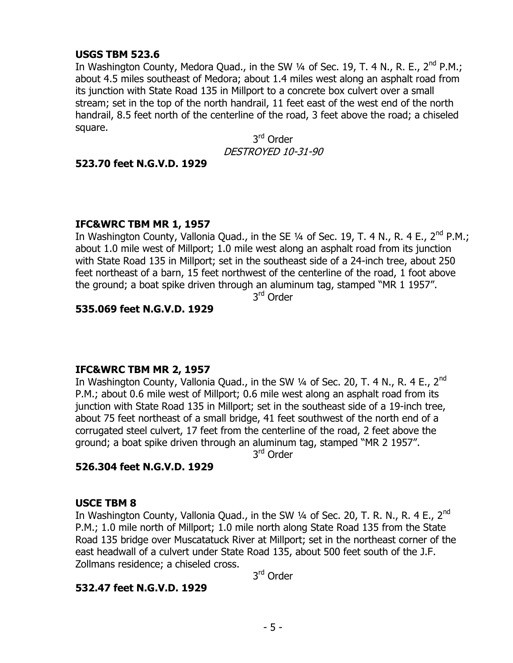### **USGS TBM 523.6**

In Washington County, Medora Quad., in the SW  $\frac{1}{4}$  of Sec. 19, T. 4 N., R. E., 2<sup>nd</sup> P.M.; about 4.5 miles southeast of Medora; about 1.4 miles west along an asphalt road from its junction with State Road 135 in Millport to a concrete box culvert over a small stream; set in the top of the north handrail, 11 feet east of the west end of the north handrail, 8.5 feet north of the centerline of the road, 3 feet above the road; a chiseled square.

3<sup>rd</sup> Order DESTROYED 10-31-90

### **523.70 feet N.G.V.D. 1929**

### **IFC&WRC TBM MR 1, 1957**

In Washington County, Vallonia Quad., in the SE  $\frac{1}{4}$  of Sec. 19, T. 4 N., R. 4 E., 2<sup>nd</sup> P.M.; about 1.0 mile west of Millport; 1.0 mile west along an asphalt road from its junction with State Road 135 in Millport; set in the southeast side of a 24-inch tree, about 250 feet northeast of a barn, 15 feet northwest of the centerline of the road, 1 foot above the ground; a boat spike driven through an aluminum tag, stamped "MR 1 1957".

3<sup>rd</sup> Order

## **535.069 feet N.G.V.D. 1929**

### **IFC&WRC TBM MR 2, 1957**

In Washington County, Vallonia Quad., in the SW  $\frac{1}{4}$  of Sec. 20, T. 4 N., R. 4 E., 2<sup>nd</sup> P.M.; about 0.6 mile west of Millport; 0.6 mile west along an asphalt road from its junction with State Road 135 in Millport; set in the southeast side of a 19-inch tree, about 75 feet northeast of a small bridge, 41 feet southwest of the north end of a corrugated steel culvert, 17 feet from the centerline of the road, 2 feet above the ground; a boat spike driven through an aluminum tag, stamped "MR 2 1957".

3<sup>rd</sup> Order

### **526.304 feet N.G.V.D. 1929**

### **USCE TBM 8**

In Washington County, Vallonia Quad., in the SW 1/4 of Sec. 20, T. R. N., R. 4 E., 2<sup>nd</sup> P.M.; 1.0 mile north of Millport; 1.0 mile north along State Road 135 from the State Road 135 bridge over Muscatatuck River at Millport; set in the northeast corner of the east headwall of a culvert under State Road 135, about 500 feet south of the J.F. Zollmans residence; a chiseled cross.

3<sup>rd</sup> Order

### **532.47 feet N.G.V.D. 1929**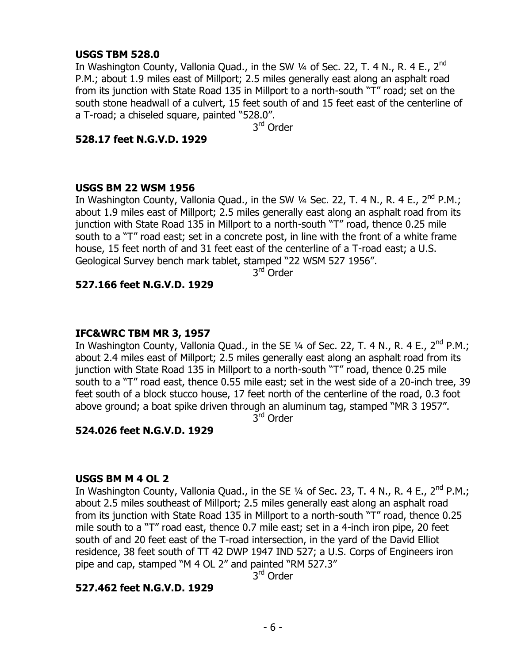### **USGS TBM 528.0**

In Washington County, Vallonia Quad., in the SW  $\frac{1}{4}$  of Sec. 22, T. 4 N., R. 4 E., 2<sup>nd</sup> P.M.; about 1.9 miles east of Millport; 2.5 miles generally east along an asphalt road from its junction with State Road 135 in Millport to a north-south "T" road; set on the south stone headwall of a culvert, 15 feet south of and 15 feet east of the centerline of a T-road; a chiseled square, painted "528.0".

3<sup>rd</sup> Order

### **528.17 feet N.G.V.D. 1929**

### **USGS BM 22 WSM 1956**

In Washington County, Vallonia Quad., in the SW  $\frac{1}{4}$  Sec. 22, T. 4 N., R. 4 E., 2<sup>nd</sup> P.M.; about 1.9 miles east of Millport; 2.5 miles generally east along an asphalt road from its junction with State Road 135 in Millport to a north-south "T" road, thence 0.25 mile south to a "T" road east; set in a concrete post, in line with the front of a white frame house, 15 feet north of and 31 feet east of the centerline of a T-road east; a U.S. Geological Survey bench mark tablet, stamped "22 WSM 527 1956".

3<sup>rd</sup> Order

### **527.166 feet N.G.V.D. 1929**

### **IFC&WRC TBM MR 3, 1957**

In Washington County, Vallonia Quad., in the SE  $\frac{1}{4}$  of Sec. 22, T. 4 N., R. 4 E., 2<sup>nd</sup> P.M.; about 2.4 miles east of Millport; 2.5 miles generally east along an asphalt road from its junction with State Road 135 in Millport to a north-south "T" road, thence 0.25 mile south to a "T" road east, thence 0.55 mile east; set in the west side of a 20-inch tree, 39 feet south of a block stucco house, 17 feet north of the centerline of the road, 0.3 foot above ground; a boat spike driven through an aluminum tag, stamped "MR 3 1957".

3<sup>rd</sup> Order

**524.026 feet N.G.V.D. 1929**

### **USGS BM M 4 OL 2**

In Washington County, Vallonia Quad., in the SE  $\frac{1}{4}$  of Sec. 23, T. 4 N., R. 4 E., 2<sup>nd</sup> P.M.; about 2.5 miles southeast of Millport; 2.5 miles generally east along an asphalt road from its junction with State Road 135 in Millport to a north-south "T" road, thence 0.25 mile south to a "T" road east, thence 0.7 mile east; set in a 4-inch iron pipe, 20 feet south of and 20 feet east of the T-road intersection, in the yard of the David Elliot residence, 38 feet south of TT 42 DWP 1947 IND 527; a U.S. Corps of Engineers iron pipe and cap, stamped "M 4 OL 2" and painted "RM 527.3"

3<sup>rd</sup> Order

## **527.462 feet N.G.V.D. 1929**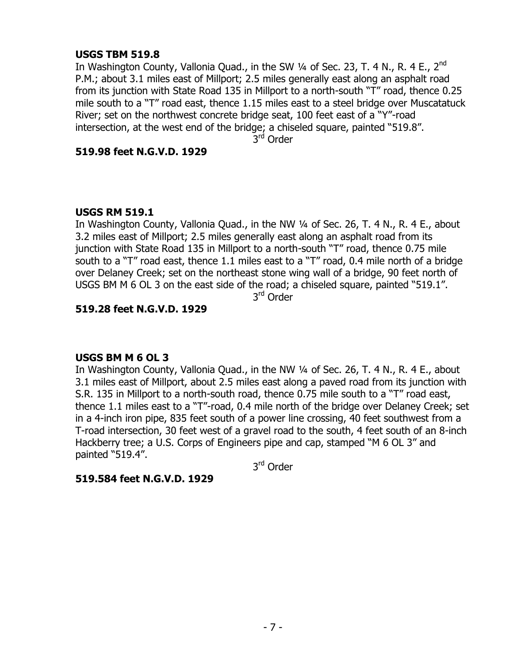### **USGS TBM 519.8**

In Washington County, Vallonia Quad., in the SW 1/4 of Sec. 23, T. 4 N., R. 4 E., 2<sup>nd</sup> P.M.; about 3.1 miles east of Millport; 2.5 miles generally east along an asphalt road from its junction with State Road 135 in Millport to a north-south "T" road, thence 0.25 mile south to a "T" road east, thence 1.15 miles east to a steel bridge over Muscatatuck River; set on the northwest concrete bridge seat, 100 feet east of a "Y"-road intersection, at the west end of the bridge; a chiseled square, painted "519.8".

3<sup>rd</sup> Order

### **519.98 feet N.G.V.D. 1929**

## **USGS RM 519.1**

In Washington County, Vallonia Quad., in the NW ¼ of Sec. 26, T. 4 N., R. 4 E., about 3.2 miles east of Millport; 2.5 miles generally east along an asphalt road from its junction with State Road 135 in Millport to a north-south "T" road, thence 0.75 mile south to a "T" road east, thence 1.1 miles east to a "T" road, 0.4 mile north of a bridge over Delaney Creek; set on the northeast stone wing wall of a bridge, 90 feet north of USGS BM M 6 OL 3 on the east side of the road; a chiseled square, painted "519.1".

3<sup>rd</sup> Order

## **519.28 feet N.G.V.D. 1929**

## **USGS BM M 6 OL 3**

In Washington County, Vallonia Quad., in the NW ¼ of Sec. 26, T. 4 N., R. 4 E., about 3.1 miles east of Millport, about 2.5 miles east along a paved road from its junction with S.R. 135 in Millport to a north-south road, thence 0.75 mile south to a "T" road east, thence 1.1 miles east to a "T"-road, 0.4 mile north of the bridge over Delaney Creek; set in a 4-inch iron pipe, 835 feet south of a power line crossing, 40 feet southwest from a T-road intersection, 30 feet west of a gravel road to the south, 4 feet south of an 8-inch Hackberry tree; a U.S. Corps of Engineers pipe and cap, stamped "M 6 OL 3" and painted "519.4".

3<sup>rd</sup> Order

## **519.584 feet N.G.V.D. 1929**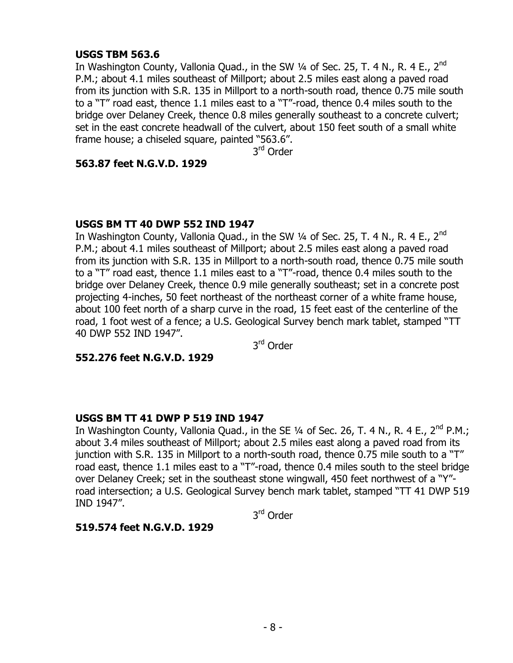### **USGS TBM 563.6**

In Washington County, Vallonia Quad., in the SW  $\frac{1}{4}$  of Sec. 25, T. 4 N., R. 4 E., 2<sup>nd</sup> P.M.; about 4.1 miles southeast of Millport; about 2.5 miles east along a paved road from its junction with S.R. 135 in Millport to a north-south road, thence 0.75 mile south to a "T" road east, thence 1.1 miles east to a "T"-road, thence 0.4 miles south to the bridge over Delaney Creek, thence 0.8 miles generally southeast to a concrete culvert; set in the east concrete headwall of the culvert, about 150 feet south of a small white frame house; a chiseled square, painted "563.6".

3<sup>rd</sup> Order

### **563.87 feet N.G.V.D. 1929**

### **USGS BM TT 40 DWP 552 IND 1947**

In Washington County, Vallonia Quad., in the SW  $\frac{1}{4}$  of Sec. 25, T. 4 N., R. 4 E., 2<sup>nd</sup> P.M.; about 4.1 miles southeast of Millport; about 2.5 miles east along a paved road from its junction with S.R. 135 in Millport to a north-south road, thence 0.75 mile south to a "T" road east, thence 1.1 miles east to a "T"-road, thence 0.4 miles south to the bridge over Delaney Creek, thence 0.9 mile generally southeast; set in a concrete post projecting 4-inches, 50 feet northeast of the northeast corner of a white frame house, about 100 feet north of a sharp curve in the road, 15 feet east of the centerline of the road, 1 foot west of a fence; a U.S. Geological Survey bench mark tablet, stamped "TT 40 DWP 552 IND 1947".

3<sup>rd</sup> Order

**552.276 feet N.G.V.D. 1929**

### **USGS BM TT 41 DWP P 519 IND 1947**

In Washington County, Vallonia Quad., in the SE  $\frac{1}{4}$  of Sec. 26, T. 4 N., R. 4 E., 2<sup>nd</sup> P.M.; about 3.4 miles southeast of Millport; about 2.5 miles east along a paved road from its junction with S.R. 135 in Millport to a north-south road, thence 0.75 mile south to a "T" road east, thence 1.1 miles east to a "T"-road, thence 0.4 miles south to the steel bridge over Delaney Creek; set in the southeast stone wingwall, 450 feet northwest of a "Y" road intersection; a U.S. Geological Survey bench mark tablet, stamped "TT 41 DWP 519 IND 1947".

3<sup>rd</sup> Order

### **519.574 feet N.G.V.D. 1929**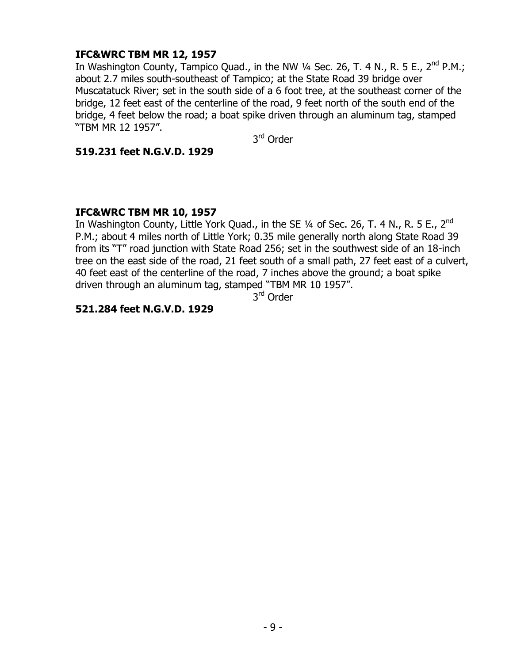## **IFC&WRC TBM MR 12, 1957**

In Washington County, Tampico Quad., in the NW  $\frac{1}{4}$  Sec. 26, T. 4 N., R. 5 E., 2<sup>nd</sup> P.M.; about 2.7 miles south-southeast of Tampico; at the State Road 39 bridge over Muscatatuck River; set in the south side of a 6 foot tree, at the southeast corner of the bridge, 12 feet east of the centerline of the road, 9 feet north of the south end of the bridge, 4 feet below the road; a boat spike driven through an aluminum tag, stamped "TBM MR 12 1957".

3<sup>rd</sup> Order

### **519.231 feet N.G.V.D. 1929**

## **IFC&WRC TBM MR 10, 1957**

In Washington County, Little York Quad., in the SE  $\frac{1}{4}$  of Sec. 26, T. 4 N., R. 5 E., 2<sup>nd</sup> P.M.; about 4 miles north of Little York; 0.35 mile generally north along State Road 39 from its "T" road junction with State Road 256; set in the southwest side of an 18-inch tree on the east side of the road, 21 feet south of a small path, 27 feet east of a culvert, 40 feet east of the centerline of the road, 7 inches above the ground; a boat spike driven through an aluminum tag, stamped "TBM MR 10 1957".

3<sup>rd</sup> Order

## **521.284 feet N.G.V.D. 1929**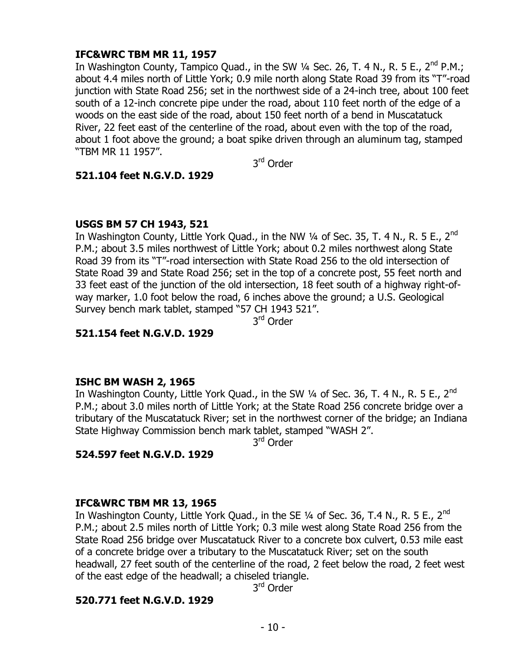## **IFC&WRC TBM MR 11, 1957**

In Washington County, Tampico Quad., in the SW  $\frac{1}{4}$  Sec. 26, T. 4 N., R. 5 E., 2<sup>nd</sup> P.M.; about 4.4 miles north of Little York; 0.9 mile north along State Road 39 from its "T"-road junction with State Road 256; set in the northwest side of a 24-inch tree, about 100 feet south of a 12-inch concrete pipe under the road, about 110 feet north of the edge of a woods on the east side of the road, about 150 feet north of a bend in Muscatatuck River, 22 feet east of the centerline of the road, about even with the top of the road, about 1 foot above the ground; a boat spike driven through an aluminum tag, stamped "TBM MR 11 1957".

3<sup>rd</sup> Order

### **521.104 feet N.G.V.D. 1929**

## **USGS BM 57 CH 1943, 521**

In Washington County, Little York Quad., in the NW  $\frac{1}{4}$  of Sec. 35, T. 4 N., R. 5 E., 2<sup>nd</sup> P.M.; about 3.5 miles northwest of Little York; about 0.2 miles northwest along State Road 39 from its "T"-road intersection with State Road 256 to the old intersection of State Road 39 and State Road 256; set in the top of a concrete post, 55 feet north and 33 feet east of the junction of the old intersection, 18 feet south of a highway right-ofway marker, 1.0 foot below the road, 6 inches above the ground; a U.S. Geological Survey bench mark tablet, stamped "57 CH 1943 521".

3<sup>rd</sup> Order

## **521.154 feet N.G.V.D. 1929**

## **ISHC BM WASH 2, 1965**

In Washington County, Little York Quad., in the SW  $\frac{1}{4}$  of Sec. 36, T. 4 N., R. 5 E., 2<sup>nd</sup> P.M.; about 3.0 miles north of Little York; at the State Road 256 concrete bridge over a tributary of the Muscatatuck River; set in the northwest corner of the bridge; an Indiana State Highway Commission bench mark tablet, stamped "WASH 2".

3<sup>rd</sup> Order

## **524.597 feet N.G.V.D. 1929**

## **IFC&WRC TBM MR 13, 1965**

In Washington County, Little York Quad., in the SE  $\frac{1}{4}$  of Sec. 36, T.4 N., R. 5 E., 2<sup>nd</sup> P.M.; about 2.5 miles north of Little York; 0.3 mile west along State Road 256 from the State Road 256 bridge over Muscatatuck River to a concrete box culvert, 0.53 mile east of a concrete bridge over a tributary to the Muscatatuck River; set on the south headwall, 27 feet south of the centerline of the road, 2 feet below the road, 2 feet west of the east edge of the headwall; a chiseled triangle.

3<sup>rd</sup> Order

## **520.771 feet N.G.V.D. 1929**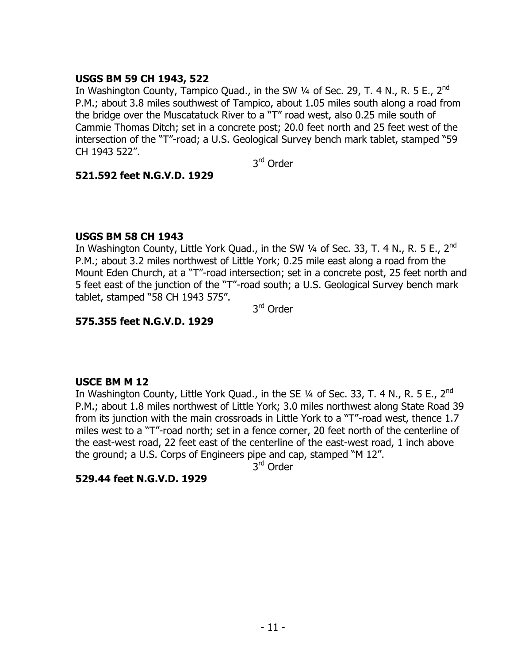## **USGS BM 59 CH 1943, 522**

In Washington County, Tampico Quad., in the SW 1/4 of Sec. 29, T. 4 N., R. 5 E., 2<sup>nd</sup> P.M.; about 3.8 miles southwest of Tampico, about 1.05 miles south along a road from the bridge over the Muscatatuck River to a "T" road west, also 0.25 mile south of Cammie Thomas Ditch; set in a concrete post; 20.0 feet north and 25 feet west of the intersection of the "T"-road; a U.S. Geological Survey bench mark tablet, stamped "59 CH 1943 522".

3<sup>rd</sup> Order

### **521.592 feet N.G.V.D. 1929**

### **USGS BM 58 CH 1943**

In Washington County, Little York Quad., in the SW  $\frac{1}{4}$  of Sec. 33, T. 4 N., R. 5 E., 2<sup>nd</sup> P.M.; about 3.2 miles northwest of Little York; 0.25 mile east along a road from the Mount Eden Church, at a "T"-road intersection; set in a concrete post, 25 feet north and 5 feet east of the junction of the "T"-road south; a U.S. Geological Survey bench mark tablet, stamped "58 CH 1943 575".

3<sup>rd</sup> Order

### **575.355 feet N.G.V.D. 1929**

### **USCE BM M 12**

In Washington County, Little York Quad., in the SE  $\frac{1}{4}$  of Sec. 33, T. 4 N., R. 5 E., 2<sup>nd</sup> P.M.; about 1.8 miles northwest of Little York; 3.0 miles northwest along State Road 39 from its junction with the main crossroads in Little York to a "T"-road west, thence 1.7 miles west to a "T"-road north; set in a fence corner, 20 feet north of the centerline of the east-west road, 22 feet east of the centerline of the east-west road, 1 inch above the ground; a U.S. Corps of Engineers pipe and cap, stamped "M 12".

3<sup>rd</sup> Order

### **529.44 feet N.G.V.D. 1929**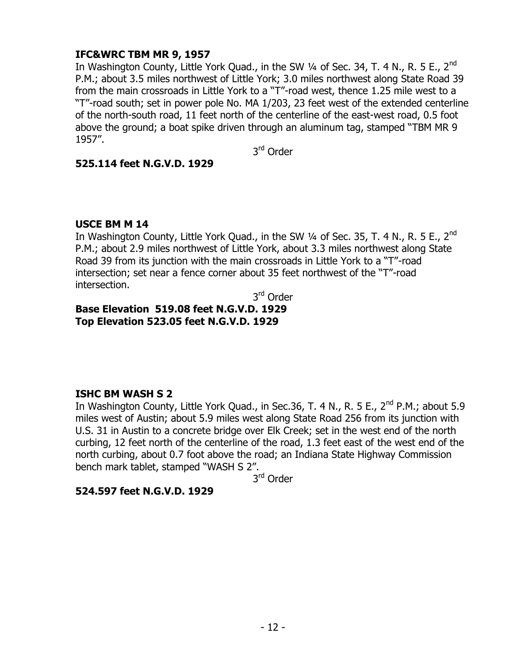## **IFC&WRC TBM MR 9, 1957**

In Washington County, Little York Quad., in the SW  $\frac{1}{4}$  of Sec. 34, T. 4 N., R. 5 E., 2<sup>nd</sup> P.M.; about 3.5 miles northwest of Little York; 3.0 miles northwest along State Road 39 from the main crossroads in Little York to a "T"-road west, thence 1.25 mile west to a "T"-road south; set in power pole No. MA 1/203, 23 feet west of the extended centerline of the north-south road, 11 feet north of the centerline of the east-west road, 0.5 foot above the ground; a boat spike driven through an aluminum tag, stamped "TBM MR 9 1957".

3<sup>rd</sup> Order

### **525.114 feet N.G.V.D. 1929**

### **USCE BM M 14**

In Washington County, Little York Quad., in the SW  $\frac{1}{4}$  of Sec. 35, T. 4 N., R. 5 E., 2<sup>nd</sup> P.M.; about 2.9 miles northwest of Little York, about 3.3 miles northwest along State Road 39 from its junction with the main crossroads in Little York to a "T"-road intersection; set near a fence corner about 35 feet northwest of the "T"-road intersection.

3<sup>rd</sup> Order

# **Base Elevation 519.08 feet N.G.V.D. 1929 Top Elevation 523.05 feet N.G.V.D. 1929**

## **ISHC BM WASH S 2**

In Washington County, Little York Quad., in Sec.36, T. 4 N., R. 5 E.,  $2^{nd}$  P.M.; about 5.9 miles west of Austin; about 5.9 miles west along State Road 256 from its junction with U.S. 31 in Austin to a concrete bridge over Elk Creek; set in the west end of the north curbing, 12 feet north of the centerline of the road, 1.3 feet east of the west end of the north curbing, about 0.7 foot above the road; an Indiana State Highway Commission bench mark tablet, stamped "WASH S 2".

3<sup>rd</sup> Order

### **524.597 feet N.G.V.D. 1929**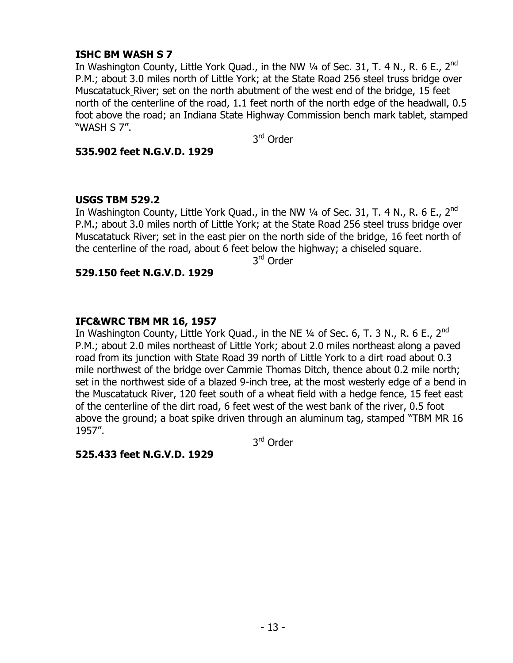### **ISHC BM WASH S 7**

In Washington County, Little York Quad., in the NW  $\frac{1}{4}$  of Sec. 31, T. 4 N., R. 6 E., 2<sup>nd</sup> P.M.; about 3.0 miles north of Little York; at the State Road 256 steel truss bridge over Muscatatuck River; set on the north abutment of the west end of the bridge, 15 feet north of the centerline of the road, 1.1 feet north of the north edge of the headwall, 0.5 foot above the road; an Indiana State Highway Commission bench mark tablet, stamped "WASH S 7".

3<sup>rd</sup> Order

### **535.902 feet N.G.V.D. 1929**

## **USGS TBM 529.2**

In Washington County, Little York Quad., in the NW  $\frac{1}{4}$  of Sec. 31, T. 4 N., R. 6 E., 2<sup>nd</sup> P.M.; about 3.0 miles north of Little York; at the State Road 256 steel truss bridge over Muscatatuck River; set in the east pier on the north side of the bridge, 16 feet north of the centerline of the road, about 6 feet below the highway; a chiseled square.

3<sup>rd</sup> Order

## **529.150 feet N.G.V.D. 1929**

## **IFC&WRC TBM MR 16, 1957**

In Washington County, Little York Quad., in the NE  $\frac{1}{4}$  of Sec. 6, T. 3 N., R. 6 E., 2<sup>nd</sup> P.M.; about 2.0 miles northeast of Little York; about 2.0 miles northeast along a paved road from its junction with State Road 39 north of Little York to a dirt road about 0.3 mile northwest of the bridge over Cammie Thomas Ditch, thence about 0.2 mile north; set in the northwest side of a blazed 9-inch tree, at the most westerly edge of a bend in the Muscatatuck River, 120 feet south of a wheat field with a hedge fence, 15 feet east of the centerline of the dirt road, 6 feet west of the west bank of the river, 0.5 foot above the ground; a boat spike driven through an aluminum tag, stamped "TBM MR 16 1957".

3<sup>rd</sup> Order

## **525.433 feet N.G.V.D. 1929**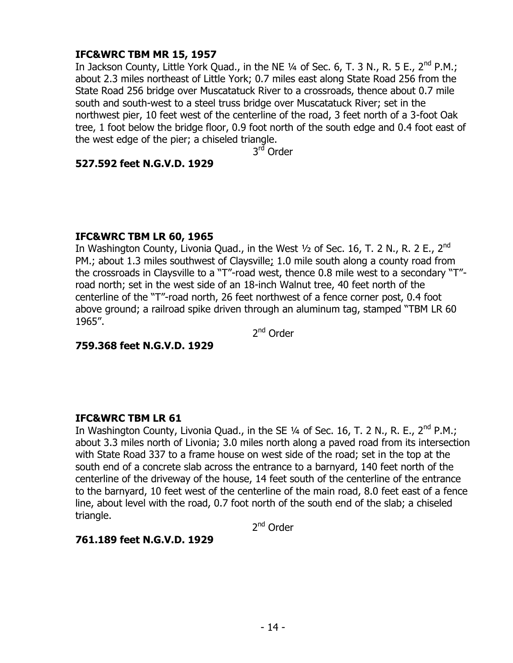## **IFC&WRC TBM MR 15, 1957**

In Jackson County, Little York Quad., in the NE  $\frac{1}{4}$  of Sec. 6, T. 3 N., R. 5 E., 2<sup>nd</sup> P.M.; about 2.3 miles northeast of Little York; 0.7 miles east along State Road 256 from the State Road 256 bridge over Muscatatuck River to a crossroads, thence about 0.7 mile south and south-west to a steel truss bridge over Muscatatuck River; set in the northwest pier, 10 feet west of the centerline of the road, 3 feet north of a 3-foot Oak tree, 1 foot below the bridge floor, 0.9 foot north of the south edge and 0.4 foot east of the west edge of the pier; a chiseled triangle.

3<sup>rđ</sup> Order

### **527.592 feet N.G.V.D. 1929**

### **IFC&WRC TBM LR 60, 1965**

In Washington County, Livonia Quad., in the West  $\frac{1}{2}$  of Sec. 16, T. 2 N., R. 2 E., 2<sup>nd</sup> PM.; about 1.3 miles southwest of Claysville; 1.0 mile south along a county road from the crossroads in Claysville to a "T"-road west, thence 0.8 mile west to a secondary "T" road north; set in the west side of an 18-inch Walnut tree, 40 feet north of the centerline of the "T"-road north, 26 feet northwest of a fence corner post, 0.4 foot above ground; a railroad spike driven through an aluminum tag, stamped "TBM LR 60 1965".

2<sup>nd</sup> Order

**759.368 feet N.G.V.D. 1929**

### **IFC&WRC TBM LR 61**

In Washington County, Livonia Quad., in the SE  $\frac{1}{4}$  of Sec. 16, T. 2 N., R. E., 2<sup>nd</sup> P.M.; about 3.3 miles north of Livonia; 3.0 miles north along a paved road from its intersection with State Road 337 to a frame house on west side of the road; set in the top at the south end of a concrete slab across the entrance to a barnyard, 140 feet north of the centerline of the driveway of the house, 14 feet south of the centerline of the entrance to the barnyard, 10 feet west of the centerline of the main road, 8.0 feet east of a fence line, about level with the road, 0.7 foot north of the south end of the slab; a chiseled triangle.

2<sup>nd</sup> Order

### **761.189 feet N.G.V.D. 1929**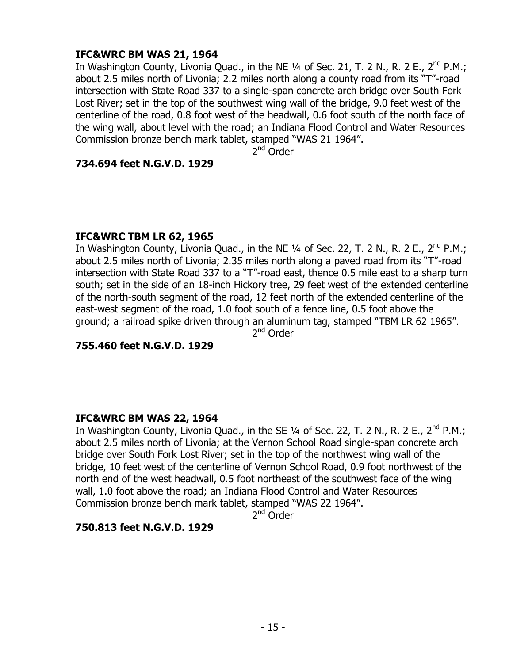## **IFC&WRC BM WAS 21, 1964**

In Washington County, Livonia Quad., in the NE  $\frac{1}{4}$  of Sec. 21, T. 2 N., R. 2 E., 2<sup>nd</sup> P.M.; about 2.5 miles north of Livonia; 2.2 miles north along a county road from its "T"-road intersection with State Road 337 to a single-span concrete arch bridge over South Fork Lost River; set in the top of the southwest wing wall of the bridge, 9.0 feet west of the centerline of the road, 0.8 foot west of the headwall, 0.6 foot south of the north face of the wing wall, about level with the road; an Indiana Flood Control and Water Resources Commission bronze bench mark tablet, stamped "WAS 21 1964".

2<sup>nd</sup> Order

### **734.694 feet N.G.V.D. 1929**

### **IFC&WRC TBM LR 62, 1965**

In Washington County, Livonia Quad., in the NE  $\frac{1}{4}$  of Sec. 22, T. 2 N., R. 2 E., 2<sup>nd</sup> P.M.; about 2.5 miles north of Livonia; 2.35 miles north along a paved road from its "T"-road intersection with State Road 337 to a "T"-road east, thence 0.5 mile east to a sharp turn south; set in the side of an 18-inch Hickory tree, 29 feet west of the extended centerline of the north-south segment of the road, 12 feet north of the extended centerline of the east-west segment of the road, 1.0 foot south of a fence line, 0.5 foot above the ground; a railroad spike driven through an aluminum tag, stamped "TBM LR 62 1965". 2<sup>nd</sup> Order

**755.460 feet N.G.V.D. 1929**

### **IFC&WRC BM WAS 22, 1964**

In Washington County, Livonia Quad., in the SE  $\frac{1}{4}$  of Sec. 22, T. 2 N., R. 2 E., 2<sup>nd</sup> P.M.; about 2.5 miles north of Livonia; at the Vernon School Road single-span concrete arch bridge over South Fork Lost River; set in the top of the northwest wing wall of the bridge, 10 feet west of the centerline of Vernon School Road, 0.9 foot northwest of the north end of the west headwall, 0.5 foot northeast of the southwest face of the wing wall, 1.0 foot above the road; an Indiana Flood Control and Water Resources Commission bronze bench mark tablet, stamped "WAS 22 1964".

2<sup>nd</sup> Order

### **750.813 feet N.G.V.D. 1929**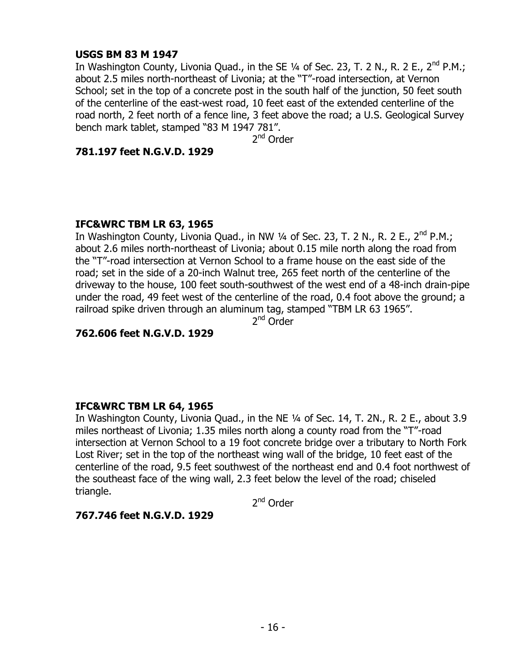### **USGS BM 83 M 1947**

In Washington County, Livonia Quad., in the SE  $\frac{1}{4}$  of Sec. 23, T. 2 N., R. 2 E., 2<sup>nd</sup> P.M.; about 2.5 miles north-northeast of Livonia; at the "T"-road intersection, at Vernon School; set in the top of a concrete post in the south half of the junction, 50 feet south of the centerline of the east-west road, 10 feet east of the extended centerline of the road north, 2 feet north of a fence line, 3 feet above the road; a U.S. Geological Survey bench mark tablet, stamped "83 M 1947 781".

2<sup>nd</sup> Order

### **781.197 feet N.G.V.D. 1929**

### **IFC&WRC TBM LR 63, 1965**

In Washington County, Livonia Quad., in NW  $\frac{1}{4}$  of Sec. 23, T. 2 N., R. 2 E., 2<sup>nd</sup> P.M.; about 2.6 miles north-northeast of Livonia; about 0.15 mile north along the road from the "T"-road intersection at Vernon School to a frame house on the east side of the road; set in the side of a 20-inch Walnut tree, 265 feet north of the centerline of the driveway to the house, 100 feet south-southwest of the west end of a 48-inch drain-pipe under the road, 49 feet west of the centerline of the road, 0.4 foot above the ground; a railroad spike driven through an aluminum tag, stamped "TBM LR 63 1965".

2<sup>nd</sup> Order

## **762.606 feet N.G.V.D. 1929**

### **IFC&WRC TBM LR 64, 1965**

In Washington County, Livonia Quad., in the NE 1/4 of Sec. 14, T. 2N., R. 2 E., about 3.9 miles northeast of Livonia; 1.35 miles north along a county road from the "T"-road intersection at Vernon School to a 19 foot concrete bridge over a tributary to North Fork Lost River; set in the top of the northeast wing wall of the bridge, 10 feet east of the centerline of the road, 9.5 feet southwest of the northeast end and 0.4 foot northwest of the southeast face of the wing wall, 2.3 feet below the level of the road; chiseled triangle.

2<sup>nd</sup> Order

## **767.746 feet N.G.V.D. 1929**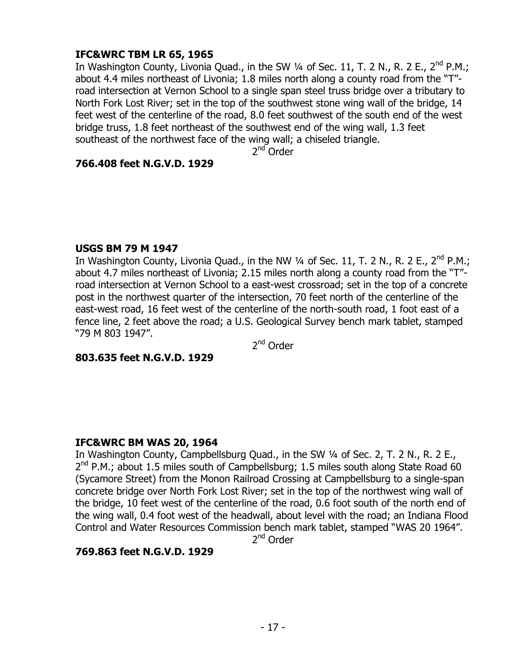## **IFC&WRC TBM LR 65, 1965**

In Washington County, Livonia Quad., in the SW  $\frac{1}{4}$  of Sec. 11, T. 2 N., R. 2 E., 2<sup>nd</sup> P.M.; about 4.4 miles northeast of Livonia; 1.8 miles north along a county road from the "T" road intersection at Vernon School to a single span steel truss bridge over a tributary to North Fork Lost River; set in the top of the southwest stone wing wall of the bridge, 14 feet west of the centerline of the road, 8.0 feet southwest of the south end of the west bridge truss, 1.8 feet northeast of the southwest end of the wing wall, 1.3 feet southeast of the northwest face of the wing wall; a chiseled triangle.

2<sup>nd</sup> Order

### **766.408 feet N.G.V.D. 1929**

### **USGS BM 79 M 1947**

In Washington County, Livonia Quad., in the NW 1/4 of Sec. 11, T. 2 N., R. 2 E., 2<sup>nd</sup> P.M.; about 4.7 miles northeast of Livonia; 2.15 miles north along a county road from the "T" road intersection at Vernon School to a east-west crossroad; set in the top of a concrete post in the northwest quarter of the intersection, 70 feet north of the centerline of the east-west road, 16 feet west of the centerline of the north-south road, 1 foot east of a fence line, 2 feet above the road; a U.S. Geological Survey bench mark tablet, stamped "79 M 803 1947".

2<sup>nd</sup> Order

### **803.635 feet N.G.V.D. 1929**

### **IFC&WRC BM WAS 20, 1964**

In Washington County, Campbellsburg Quad., in the SW 1/4 of Sec. 2, T. 2 N., R. 2 E., 2<sup>nd</sup> P.M.; about 1.5 miles south of Campbellsburg; 1.5 miles south along State Road 60 (Sycamore Street) from the Monon Railroad Crossing at Campbellsburg to a single-span concrete bridge over North Fork Lost River; set in the top of the northwest wing wall of the bridge, 10 feet west of the centerline of the road, 0.6 foot south of the north end of the wing wall, 0.4 foot west of the headwall, about level with the road; an Indiana Flood Control and Water Resources Commission bench mark tablet, stamped "WAS 20 1964".

2<sup>nd</sup> Order

### **769.863 feet N.G.V.D. 1929**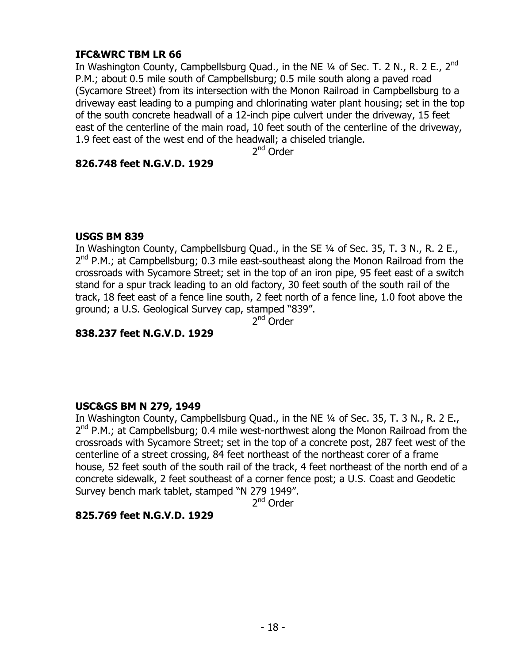## **IFC&WRC TBM LR 66**

In Washington County, Campbellsburg Quad., in the NE  $\frac{1}{4}$  of Sec. T. 2 N., R. 2 E., 2<sup>nd</sup> P.M.; about 0.5 mile south of Campbellsburg; 0.5 mile south along a paved road (Sycamore Street) from its intersection with the Monon Railroad in Campbellsburg to a driveway east leading to a pumping and chlorinating water plant housing; set in the top of the south concrete headwall of a 12-inch pipe culvert under the driveway, 15 feet east of the centerline of the main road, 10 feet south of the centerline of the driveway, 1.9 feet east of the west end of the headwall; a chiseled triangle.

2<sup>nd</sup> Order

### **826.748 feet N.G.V.D. 1929**

### **USGS BM 839**

In Washington County, Campbellsburg Quad., in the SE 1/4 of Sec. 35, T. 3 N., R. 2 E., 2<sup>nd</sup> P.M.; at Campbellsburg; 0.3 mile east-southeast along the Monon Railroad from the crossroads with Sycamore Street; set in the top of an iron pipe, 95 feet east of a switch stand for a spur track leading to an old factory, 30 feet south of the south rail of the track, 18 feet east of a fence line south, 2 feet north of a fence line, 1.0 foot above the ground; a U.S. Geological Survey cap, stamped "839".

2<sup>nd</sup> Order

## **838.237 feet N.G.V.D. 1929**

### **USC&GS BM N 279, 1949**

In Washington County, Campbellsburg Quad., in the NE 1/4 of Sec. 35, T. 3 N., R. 2 E., 2<sup>nd</sup> P.M.; at Campbellsburg; 0.4 mile west-northwest along the Monon Railroad from the crossroads with Sycamore Street; set in the top of a concrete post, 287 feet west of the centerline of a street crossing, 84 feet northeast of the northeast corer of a frame house, 52 feet south of the south rail of the track, 4 feet northeast of the north end of a concrete sidewalk, 2 feet southeast of a corner fence post; a U.S. Coast and Geodetic Survey bench mark tablet, stamped "N 279 1949".

2<sup>nd</sup> Order

## **825.769 feet N.G.V.D. 1929**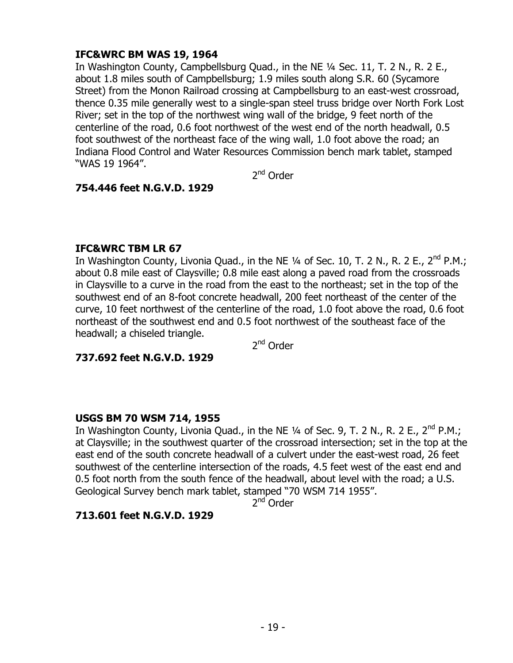## **IFC&WRC BM WAS 19, 1964**

In Washington County, Campbellsburg Quad., in the NE ¼ Sec. 11, T. 2 N., R. 2 E., about 1.8 miles south of Campbellsburg; 1.9 miles south along S.R. 60 (Sycamore Street) from the Monon Railroad crossing at Campbellsburg to an east-west crossroad, thence 0.35 mile generally west to a single-span steel truss bridge over North Fork Lost River; set in the top of the northwest wing wall of the bridge, 9 feet north of the centerline of the road, 0.6 foot northwest of the west end of the north headwall, 0.5 foot southwest of the northeast face of the wing wall, 1.0 foot above the road; an Indiana Flood Control and Water Resources Commission bench mark tablet, stamped "WAS 19 1964".

2<sup>nd</sup> Order

## **754.446 feet N.G.V.D. 1929**

## **IFC&WRC TBM LR 67**

In Washington County, Livonia Quad., in the NE  $\frac{1}{4}$  of Sec. 10, T. 2 N., R. 2 E., 2<sup>nd</sup> P.M.; about 0.8 mile east of Claysville; 0.8 mile east along a paved road from the crossroads in Claysville to a curve in the road from the east to the northeast; set in the top of the southwest end of an 8-foot concrete headwall, 200 feet northeast of the center of the curve, 10 feet northwest of the centerline of the road, 1.0 foot above the road, 0.6 foot northeast of the southwest end and 0.5 foot northwest of the southeast face of the headwall; a chiseled triangle.

2<sup>nd</sup> Order

### **737.692 feet N.G.V.D. 1929**

## **USGS BM 70 WSM 714, 1955**

In Washington County, Livonia Quad., in the NE  $\frac{1}{4}$  of Sec. 9, T. 2 N., R. 2 E., 2<sup>nd</sup> P.M.; at Claysville; in the southwest quarter of the crossroad intersection; set in the top at the east end of the south concrete headwall of a culvert under the east-west road, 26 feet southwest of the centerline intersection of the roads, 4.5 feet west of the east end and 0.5 foot north from the south fence of the headwall, about level with the road; a U.S. Geological Survey bench mark tablet, stamped "70 WSM 714 1955".

2<sup>nd</sup> Order

## **713.601 feet N.G.V.D. 1929**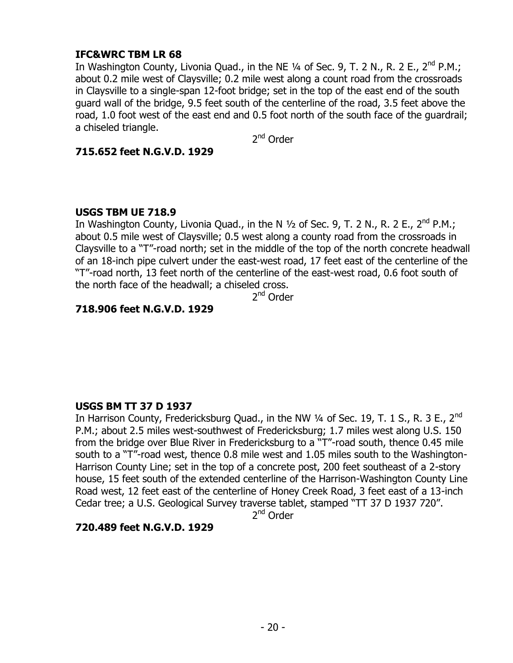## **IFC&WRC TBM LR 68**

In Washington County, Livonia Quad., in the NE  $\frac{1}{4}$  of Sec. 9, T. 2 N., R. 2 E., 2<sup>nd</sup> P.M.; about 0.2 mile west of Claysville; 0.2 mile west along a count road from the crossroads in Claysville to a single-span 12-foot bridge; set in the top of the east end of the south guard wall of the bridge, 9.5 feet south of the centerline of the road, 3.5 feet above the road, 1.0 foot west of the east end and 0.5 foot north of the south face of the guardrail; a chiseled triangle.

2<sup>nd</sup> Order

### **715.652 feet N.G.V.D. 1929**

### **USGS TBM UE 718.9**

In Washington County, Livonia Quad., in the N  $1/2$  of Sec. 9, T. 2 N., R. 2 E., 2<sup>nd</sup> P.M.; about 0.5 mile west of Claysville; 0.5 west along a county road from the crossroads in Claysville to a "T"-road north; set in the middle of the top of the north concrete headwall of an 18-inch pipe culvert under the east-west road, 17 feet east of the centerline of the "T"-road north, 13 feet north of the centerline of the east-west road, 0.6 foot south of the north face of the headwall; a chiseled cross.

2<sup>nd</sup> Order

## **718.906 feet N.G.V.D. 1929**

### **USGS BM TT 37 D 1937**

In Harrison County, Fredericksburg Quad., in the NW  $\frac{1}{4}$  of Sec. 19, T. 1 S., R. 3 E.,  $2^{nd}$ P.M.; about 2.5 miles west-southwest of Fredericksburg; 1.7 miles west along U.S. 150 from the bridge over Blue River in Fredericksburg to a "T"-road south, thence 0.45 mile south to a "T"-road west, thence 0.8 mile west and 1.05 miles south to the Washington-Harrison County Line; set in the top of a concrete post, 200 feet southeast of a 2-story house, 15 feet south of the extended centerline of the Harrison-Washington County Line Road west, 12 feet east of the centerline of Honey Creek Road, 3 feet east of a 13-inch Cedar tree; a U.S. Geological Survey traverse tablet, stamped "TT 37 D 1937 720".

2<sup>nd</sup> Order

### **720.489 feet N.G.V.D. 1929**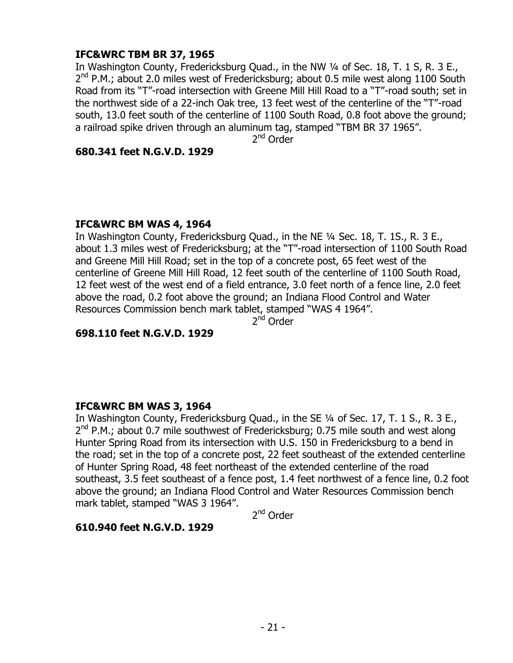## **IFC&WRC TBM BR 37, 1965**

In Washington County, Fredericksburg Quad., in the NW 1/4 of Sec. 18, T. 1 S, R. 3 E., 2<sup>nd</sup> P.M.; about 2.0 miles west of Fredericksburg; about 0.5 mile west along 1100 South Road from its "T"-road intersection with Greene Mill Hill Road to a "T"-road south; set in the northwest side of a 22-inch Oak tree, 13 feet west of the centerline of the "T"-road south, 13.0 feet south of the centerline of 1100 South Road, 0.8 foot above the ground; a railroad spike driven through an aluminum tag, stamped "TBM BR 37 1965".

2<sup>nd</sup> Order

### **680.341 feet N.G.V.D. 1929**

## **IFC&WRC BM WAS 4, 1964**

In Washington County, Fredericksburg Quad., in the NE ¼ Sec. 18, T. 1S., R. 3 E., about 1.3 miles west of Fredericksburg; at the "T"-road intersection of 1100 South Road and Greene Mill Hill Road; set in the top of a concrete post, 65 feet west of the centerline of Greene Mill Hill Road, 12 feet south of the centerline of 1100 South Road, 12 feet west of the west end of a field entrance, 3.0 feet north of a fence line, 2.0 feet above the road, 0.2 foot above the ground; an Indiana Flood Control and Water Resources Commission bench mark tablet, stamped "WAS 4 1964".

2<sup>nd</sup> Order

## **698.110 feet N.G.V.D. 1929**

## **IFC&WRC BM WAS 3, 1964**

In Washington County, Fredericksburg Quad., in the SE 1/4 of Sec. 17, T. 1 S., R. 3 E., 2<sup>nd</sup> P.M.; about 0.7 mile southwest of Fredericksburg; 0.75 mile south and west along Hunter Spring Road from its intersection with U.S. 150 in Fredericksburg to a bend in the road; set in the top of a concrete post, 22 feet southeast of the extended centerline of Hunter Spring Road, 48 feet northeast of the extended centerline of the road southeast, 3.5 feet southeast of a fence post, 1.4 feet northwest of a fence line, 0.2 foot above the ground; an Indiana Flood Control and Water Resources Commission bench mark tablet, stamped "WAS 3 1964".

2<sup>nd</sup> Order

## **610.940 feet N.G.V.D. 1929**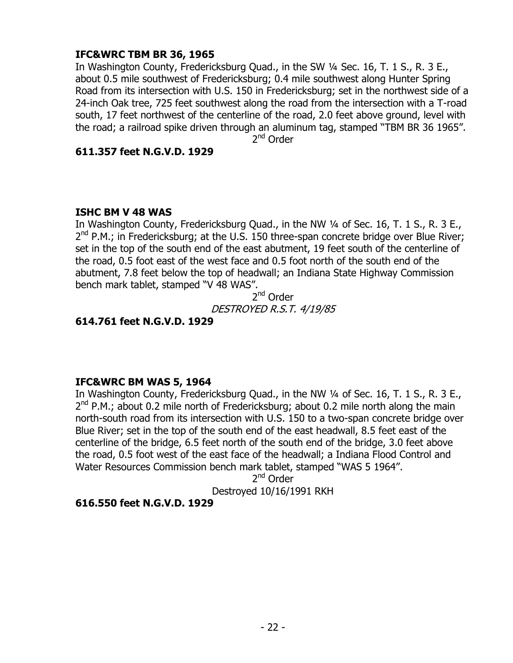## **IFC&WRC TBM BR 36, 1965**

In Washington County, Fredericksburg Quad., in the SW ¼ Sec. 16, T. 1 S., R. 3 E., about 0.5 mile southwest of Fredericksburg; 0.4 mile southwest along Hunter Spring Road from its intersection with U.S. 150 in Fredericksburg; set in the northwest side of a 24-inch Oak tree, 725 feet southwest along the road from the intersection with a T-road south, 17 feet northwest of the centerline of the road, 2.0 feet above ground, level with the road; a railroad spike driven through an aluminum tag, stamped "TBM BR 36 1965".

2<sup>nd</sup> Order

### **611.357 feet N.G.V.D. 1929**

### **ISHC BM V 48 WAS**

In Washington County, Fredericksburg Quad., in the NW ¼ of Sec. 16, T. 1 S., R. 3 E., 2<sup>nd</sup> P.M.; in Fredericksburg; at the U.S. 150 three-span concrete bridge over Blue River; set in the top of the south end of the east abutment, 19 feet south of the centerline of the road, 0.5 foot east of the west face and 0.5 foot north of the south end of the abutment, 7.8 feet below the top of headwall; an Indiana State Highway Commission bench mark tablet, stamped "V 48 WAS".

2<sup>nd</sup> Order DESTROYED R.S.T. 4/19/85

## **614.761 feet N.G.V.D. 1929**

## **IFC&WRC BM WAS 5, 1964**

In Washington County, Fredericksburg Quad., in the NW 1/4 of Sec. 16, T. 1 S., R. 3 E., 2<sup>nd</sup> P.M.; about 0.2 mile north of Fredericksburg; about 0.2 mile north along the main north-south road from its intersection with U.S. 150 to a two-span concrete bridge over Blue River; set in the top of the south end of the east headwall, 8.5 feet east of the centerline of the bridge, 6.5 feet north of the south end of the bridge, 3.0 feet above the road, 0.5 foot west of the east face of the headwall; a Indiana Flood Control and Water Resources Commission bench mark tablet, stamped "WAS 5 1964".

2<sup>nd</sup> Order

Destroyed 10/16/1991 RKH

## **616.550 feet N.G.V.D. 1929**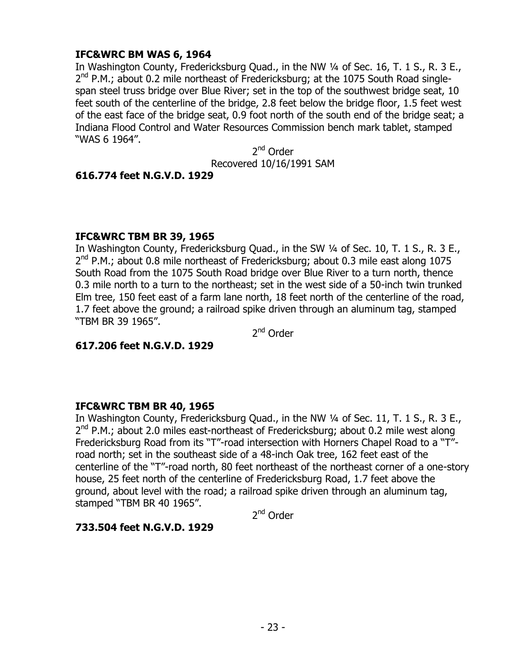## **IFC&WRC BM WAS 6, 1964**

In Washington County, Fredericksburg Quad., in the NW 1/4 of Sec. 16, T. 1 S., R. 3 E., 2<sup>nd</sup> P.M.; about 0.2 mile northeast of Fredericksburg; at the 1075 South Road singlespan steel truss bridge over Blue River; set in the top of the southwest bridge seat, 10 feet south of the centerline of the bridge, 2.8 feet below the bridge floor, 1.5 feet west of the east face of the bridge seat, 0.9 foot north of the south end of the bridge seat; a Indiana Flood Control and Water Resources Commission bench mark tablet, stamped "WAS 6 1964".

> 2<sup>nd</sup> Order Recovered 10/16/1991 SAM

### **616.774 feet N.G.V.D. 1929**

## **IFC&WRC TBM BR 39, 1965**

In Washington County, Fredericksburg Quad., in the SW ¼ of Sec. 10, T. 1 S., R. 3 E., 2<sup>nd</sup> P.M.; about 0.8 mile northeast of Fredericksburg; about 0.3 mile east along 1075 South Road from the 1075 South Road bridge over Blue River to a turn north, thence 0.3 mile north to a turn to the northeast; set in the west side of a 50-inch twin trunked Elm tree, 150 feet east of a farm lane north, 18 feet north of the centerline of the road, 1.7 feet above the ground; a railroad spike driven through an aluminum tag, stamped "TBM BR 39 1965".

2<sup>nd</sup> Order

**617.206 feet N.G.V.D. 1929**

## **IFC&WRC TBM BR 40, 1965**

In Washington County, Fredericksburg Quad., in the NW 1/4 of Sec. 11, T. 1 S., R. 3 E., 2<sup>nd</sup> P.M.; about 2.0 miles east-northeast of Fredericksburg; about 0.2 mile west along Fredericksburg Road from its "T"-road intersection with Horners Chapel Road to a "T" road north; set in the southeast side of a 48-inch Oak tree, 162 feet east of the centerline of the "T"-road north, 80 feet northeast of the northeast corner of a one-story house, 25 feet north of the centerline of Fredericksburg Road, 1.7 feet above the ground, about level with the road; a railroad spike driven through an aluminum tag, stamped "TBM BR 40 1965".

2<sup>nd</sup> Order

## **733.504 feet N.G.V.D. 1929**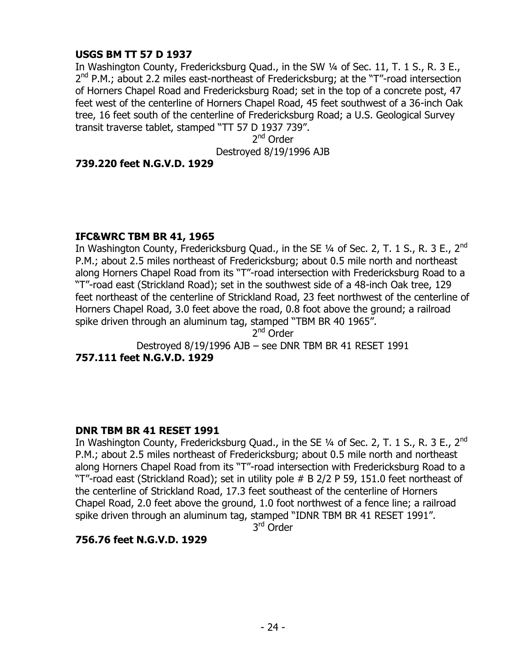## **USGS BM TT 57 D 1937**

In Washington County, Fredericksburg Quad., in the SW ¼ of Sec. 11, T. 1 S., R. 3 E., 2<sup>nd</sup> P.M.; about 2.2 miles east-northeast of Fredericksburg; at the "T"-road intersection of Horners Chapel Road and Fredericksburg Road; set in the top of a concrete post, 47 feet west of the centerline of Horners Chapel Road, 45 feet southwest of a 36-inch Oak tree, 16 feet south of the centerline of Fredericksburg Road; a U.S. Geological Survey transit traverse tablet, stamped "TT 57 D 1937 739".

2<sup>nd</sup> Order Destroyed 8/19/1996 AJB

### **739.220 feet N.G.V.D. 1929**

### **IFC&WRC TBM BR 41, 1965**

In Washington County, Fredericksburg Quad., in the SE  $\frac{1}{4}$  of Sec. 2, T. 1 S., R. 3 E., 2<sup>nd</sup> P.M.; about 2.5 miles northeast of Fredericksburg; about 0.5 mile north and northeast along Horners Chapel Road from its "T"-road intersection with Fredericksburg Road to a "T"-road east (Strickland Road); set in the southwest side of a 48-inch Oak tree, 129 feet northeast of the centerline of Strickland Road, 23 feet northwest of the centerline of Horners Chapel Road, 3.0 feet above the road, 0.8 foot above the ground; a railroad spike driven through an aluminum tag, stamped "TBM BR 40 1965".

2<sup>nd</sup> Order

Destroyed 8/19/1996 AJB – see DNR TBM BR 41 RESET 1991

**757.111 feet N.G.V.D. 1929**

## **DNR TBM BR 41 RESET 1991**

In Washington County, Fredericksburg Quad., in the SE 1/4 of Sec. 2, T. 1 S., R. 3 E., 2<sup>nd</sup> P.M.; about 2.5 miles northeast of Fredericksburg; about 0.5 mile north and northeast along Horners Chapel Road from its "T"-road intersection with Fredericksburg Road to a "T"-road east (Strickland Road); set in utility pole # B 2/2 P 59, 151.0 feet northeast of the centerline of Strickland Road, 17.3 feet southeast of the centerline of Horners Chapel Road, 2.0 feet above the ground, 1.0 foot northwest of a fence line; a railroad spike driven through an aluminum tag, stamped "IDNR TBM BR 41 RESET 1991".

3<sup>rd</sup> Order

## **756.76 feet N.G.V.D. 1929**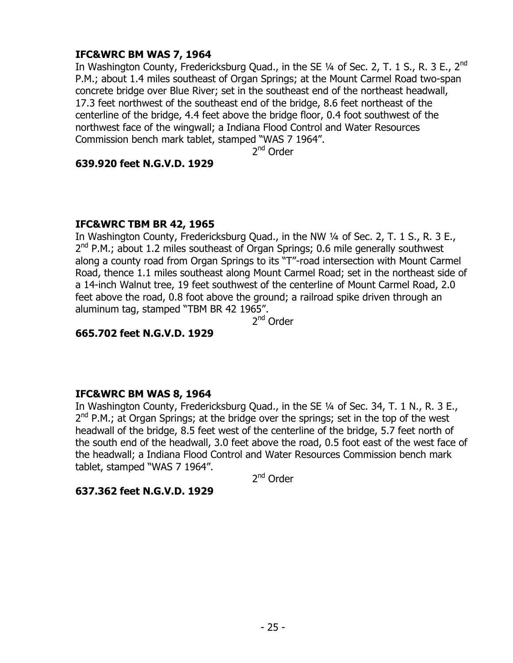## **IFC&WRC BM WAS 7, 1964**

In Washington County, Fredericksburg Quad., in the SE  $\frac{1}{4}$  of Sec. 2, T. 1 S., R. 3 E., 2<sup>nd</sup> P.M.; about 1.4 miles southeast of Organ Springs; at the Mount Carmel Road two-span concrete bridge over Blue River; set in the southeast end of the northeast headwall, 17.3 feet northwest of the southeast end of the bridge, 8.6 feet northeast of the centerline of the bridge, 4.4 feet above the bridge floor, 0.4 foot southwest of the northwest face of the wingwall; a Indiana Flood Control and Water Resources Commission bench mark tablet, stamped "WAS 7 1964".

2<sup>nd</sup> Order

### **639.920 feet N.G.V.D. 1929**

### **IFC&WRC TBM BR 42, 1965**

In Washington County, Fredericksburg Quad., in the NW 1/4 of Sec. 2, T. 1 S., R. 3 E., 2<sup>nd</sup> P.M.; about 1.2 miles southeast of Organ Springs; 0.6 mile generally southwest along a county road from Organ Springs to its "T"-road intersection with Mount Carmel Road, thence 1.1 miles southeast along Mount Carmel Road; set in the northeast side of a 14-inch Walnut tree, 19 feet southwest of the centerline of Mount Carmel Road, 2.0 feet above the road, 0.8 foot above the ground; a railroad spike driven through an aluminum tag, stamped "TBM BR 42 1965".

2<sup>nd</sup> Order

## **665.702 feet N.G.V.D. 1929**

### **IFC&WRC BM WAS 8, 1964**

In Washington County, Fredericksburg Quad., in the SE 1/4 of Sec. 34, T. 1 N., R. 3 E., 2<sup>nd</sup> P.M.; at Organ Springs; at the bridge over the springs; set in the top of the west headwall of the bridge, 8.5 feet west of the centerline of the bridge, 5.7 feet north of the south end of the headwall, 3.0 feet above the road, 0.5 foot east of the west face of the headwall; a Indiana Flood Control and Water Resources Commission bench mark tablet, stamped "WAS 7 1964".

2<sup>nd</sup> Order

### **637.362 feet N.G.V.D. 1929**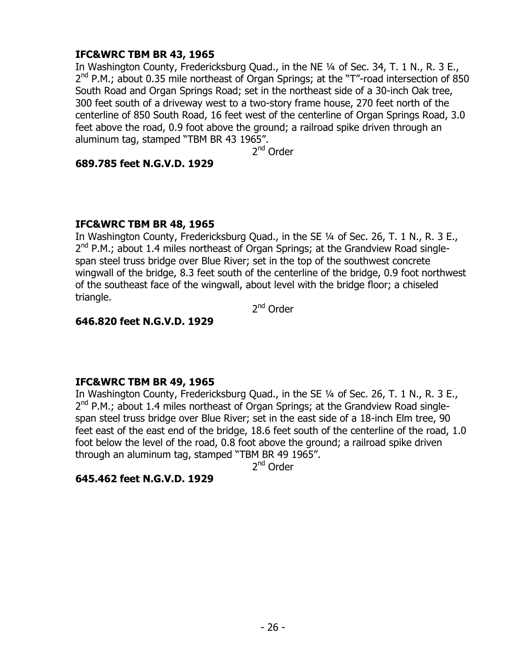## **IFC&WRC TBM BR 43, 1965**

In Washington County, Fredericksburg Quad., in the NE 1/4 of Sec. 34, T. 1 N., R. 3 E., 2<sup>nd</sup> P.M.; about 0.35 mile northeast of Organ Springs; at the "T"-road intersection of 850 South Road and Organ Springs Road; set in the northeast side of a 30-inch Oak tree, 300 feet south of a driveway west to a two-story frame house, 270 feet north of the centerline of 850 South Road, 16 feet west of the centerline of Organ Springs Road, 3.0 feet above the road, 0.9 foot above the ground; a railroad spike driven through an aluminum tag, stamped "TBM BR 43 1965".

2<sup>nd</sup> Order

### **689.785 feet N.G.V.D. 1929**

### **IFC&WRC TBM BR 48, 1965**

In Washington County, Fredericksburg Quad., in the SE ¼ of Sec. 26, T. 1 N., R. 3 E., 2<sup>nd</sup> P.M.; about 1.4 miles northeast of Organ Springs; at the Grandview Road singlespan steel truss bridge over Blue River; set in the top of the southwest concrete wingwall of the bridge, 8.3 feet south of the centerline of the bridge, 0.9 foot northwest of the southeast face of the wingwall, about level with the bridge floor; a chiseled triangle.

2<sup>nd</sup> Order

### **646.820 feet N.G.V.D. 1929**

## **IFC&WRC TBM BR 49, 1965**

In Washington County, Fredericksburg Quad., in the SE 1/4 of Sec. 26, T. 1 N., R. 3 E., 2<sup>nd</sup> P.M.; about 1.4 miles northeast of Organ Springs; at the Grandview Road singlespan steel truss bridge over Blue River; set in the east side of a 18-inch Elm tree, 90 feet east of the east end of the bridge, 18.6 feet south of the centerline of the road, 1.0 foot below the level of the road, 0.8 foot above the ground; a railroad spike driven through an aluminum tag, stamped "TBM BR 49 1965".

2<sup>nd</sup> Order

## **645.462 feet N.G.V.D. 1929**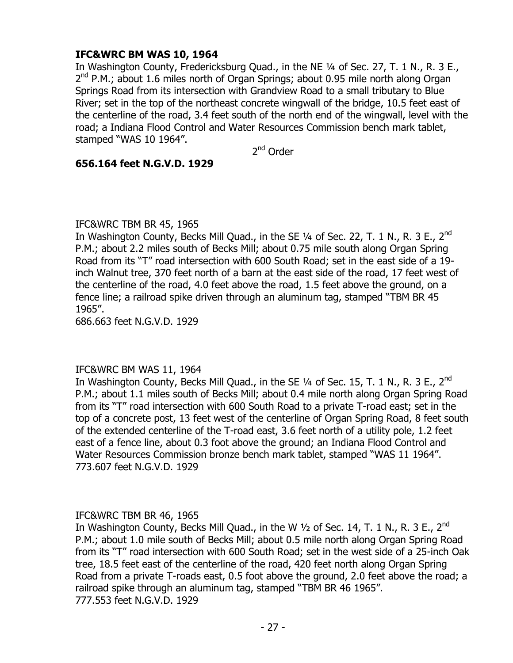## **IFC&WRC BM WAS 10, 1964**

In Washington County, Fredericksburg Quad., in the NE 1/4 of Sec. 27, T. 1 N., R. 3 E., 2<sup>nd</sup> P.M.; about 1.6 miles north of Organ Springs; about 0.95 mile north along Organ Springs Road from its intersection with Grandview Road to a small tributary to Blue River; set in the top of the northeast concrete wingwall of the bridge, 10.5 feet east of the centerline of the road, 3.4 feet south of the north end of the wingwall, level with the road; a Indiana Flood Control and Water Resources Commission bench mark tablet, stamped "WAS 10 1964".

2<sup>nd</sup> Order

### **656.164 feet N.G.V.D. 1929**

### IFC&WRC TBM BR 45, 1965

In Washington County, Becks Mill Quad., in the SE 1⁄4 of Sec. 22, T. 1 N., R. 3 E., 2<sup>nd</sup> P.M.; about 2.2 miles south of Becks Mill; about 0.75 mile south along Organ Spring Road from its "T" road intersection with 600 South Road; set in the east side of a 19 inch Walnut tree, 370 feet north of a barn at the east side of the road, 17 feet west of the centerline of the road, 4.0 feet above the road, 1.5 feet above the ground, on a fence line; a railroad spike driven through an aluminum tag, stamped "TBM BR 45 1965".

686.663 feet N.G.V.D. 1929

### IFC&WRC BM WAS 11, 1964

In Washington County, Becks Mill Quad., in the SE 1/4 of Sec. 15, T. 1 N., R. 3 E., 2<sup>nd</sup> P.M.; about 1.1 miles south of Becks Mill; about 0.4 mile north along Organ Spring Road from its "T" road intersection with 600 South Road to a private T-road east; set in the top of a concrete post, 13 feet west of the centerline of Organ Spring Road, 8 feet south of the extended centerline of the T-road east, 3.6 feet north of a utility pole, 1.2 feet east of a fence line, about 0.3 foot above the ground; an Indiana Flood Control and Water Resources Commission bronze bench mark tablet, stamped "WAS 11 1964". 773.607 feet N.G.V.D. 1929

### IFC&WRC TBM BR 46, 1965

In Washington County, Becks Mill Quad., in the W 1⁄2 of Sec. 14, T. 1 N., R. 3 E., 2<sup>nd</sup> P.M.; about 1.0 mile south of Becks Mill; about 0.5 mile north along Organ Spring Road from its "T" road intersection with 600 South Road; set in the west side of a 25-inch Oak tree, 18.5 feet east of the centerline of the road, 420 feet north along Organ Spring Road from a private T-roads east, 0.5 foot above the ground, 2.0 feet above the road; a railroad spike through an aluminum tag, stamped "TBM BR 46 1965". 777.553 feet N.G.V.D. 1929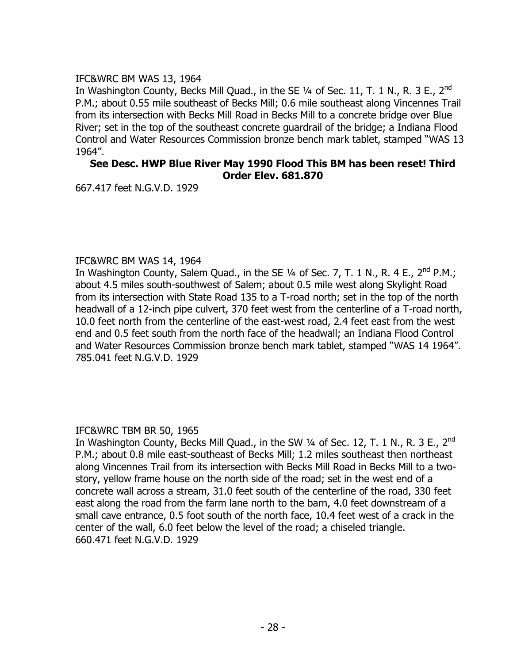### IFC&WRC BM WAS 13, 1964

In Washington County, Becks Mill Quad., in the SE 1⁄4 of Sec. 11, T. 1 N., R. 3 E., 2<sup>nd</sup> P.M.; about 0.55 mile southeast of Becks Mill; 0.6 mile southeast along Vincennes Trail from its intersection with Becks Mill Road in Becks Mill to a concrete bridge over Blue River; set in the top of the southeast concrete guardrail of the bridge; a Indiana Flood Control and Water Resources Commission bronze bench mark tablet, stamped "WAS 13 1964".

#### **See Desc. HWP Blue River May 1990 Flood This BM has been reset! Third Order Elev. 681.870**

667.417 feet N.G.V.D. 1929

### IFC&WRC BM WAS 14, 1964

In Washington County, Salem Quad., in the SE 1/4 of Sec. 7, T. 1 N., R. 4 E., 2<sup>nd</sup> P.M.; about 4.5 miles south-southwest of Salem; about 0.5 mile west along Skylight Road from its intersection with State Road 135 to a T-road north; set in the top of the north headwall of a 12-inch pipe culvert, 370 feet west from the centerline of a T-road north, 10.0 feet north from the centerline of the east-west road, 2.4 feet east from the west end and 0.5 feet south from the north face of the headwall; an Indiana Flood Control and Water Resources Commission bronze bench mark tablet, stamped "WAS 14 1964". 785.041 feet N.G.V.D. 1929

### IFC&WRC TBM BR 50, 1965

In Washington County, Becks Mill Quad., in the SW 1/4 of Sec. 12, T. 1 N., R. 3 E., 2<sup>nd</sup> P.M.; about 0.8 mile east-southeast of Becks Mill; 1.2 miles southeast then northeast along Vincennes Trail from its intersection with Becks Mill Road in Becks Mill to a twostory, yellow frame house on the north side of the road; set in the west end of a concrete wall across a stream, 31.0 feet south of the centerline of the road, 330 feet east along the road from the farm lane north to the barn, 4.0 feet downstream of a small cave entrance, 0.5 foot south of the north face, 10.4 feet west of a crack in the center of the wall, 6.0 feet below the level of the road; a chiseled triangle. 660.471 feet N.G.V.D. 1929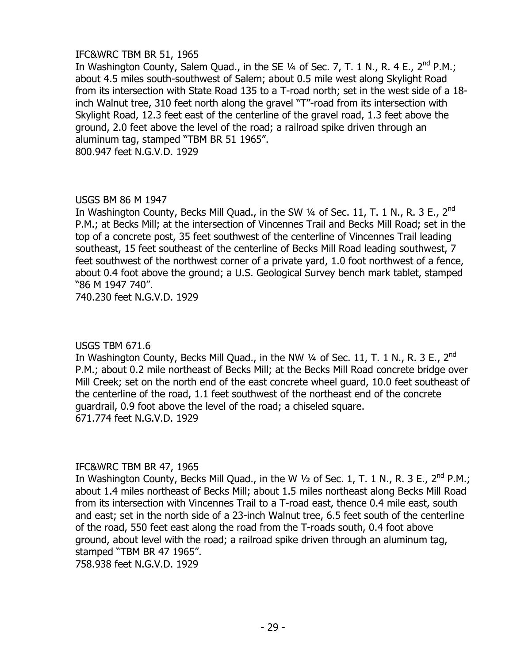### IFC&WRC TBM BR 51, 1965

In Washington County, Salem Quad., in the SE 1/4 of Sec. 7, T. 1 N., R. 4 E., 2<sup>nd</sup> P.M.; about 4.5 miles south-southwest of Salem; about 0.5 mile west along Skylight Road from its intersection with State Road 135 to a T-road north; set in the west side of a 18 inch Walnut tree, 310 feet north along the gravel "T"-road from its intersection with Skylight Road, 12.3 feet east of the centerline of the gravel road, 1.3 feet above the ground, 2.0 feet above the level of the road; a railroad spike driven through an aluminum tag, stamped "TBM BR 51 1965". 800.947 feet N.G.V.D. 1929

### USGS BM 86 M 1947

In Washington County, Becks Mill Quad., in the SW 1/4 of Sec. 11, T. 1 N., R. 3 E., 2<sup>nd</sup> P.M.; at Becks Mill; at the intersection of Vincennes Trail and Becks Mill Road; set in the top of a concrete post, 35 feet southwest of the centerline of Vincennes Trail leading southeast, 15 feet southeast of the centerline of Becks Mill Road leading southwest, 7 feet southwest of the northwest corner of a private yard, 1.0 foot northwest of a fence, about 0.4 foot above the ground; a U.S. Geological Survey bench mark tablet, stamped "86 M 1947 740".

740.230 feet N.G.V.D. 1929

### USGS TBM 671.6

In Washington County, Becks Mill Quad., in the NW 1/4 of Sec. 11, T. 1 N., R. 3 E., 2<sup>nd</sup> P.M.; about 0.2 mile northeast of Becks Mill; at the Becks Mill Road concrete bridge over Mill Creek; set on the north end of the east concrete wheel guard, 10.0 feet southeast of the centerline of the road, 1.1 feet southwest of the northeast end of the concrete guardrail, 0.9 foot above the level of the road; a chiseled square. 671.774 feet N.G.V.D. 1929

### IFC&WRC TBM BR 47, 1965

In Washington County, Becks Mill Quad., in the W  $\frac{1}{2}$  of Sec. 1, T. 1 N., R. 3 E., 2<sup>nd</sup> P.M.; about 1.4 miles northeast of Becks Mill; about 1.5 miles northeast along Becks Mill Road from its intersection with Vincennes Trail to a T-road east, thence 0.4 mile east, south and east; set in the north side of a 23-inch Walnut tree, 6.5 feet south of the centerline of the road, 550 feet east along the road from the T-roads south, 0.4 foot above ground, about level with the road; a railroad spike driven through an aluminum tag, stamped "TBM BR 47 1965".

758.938 feet N.G.V.D. 1929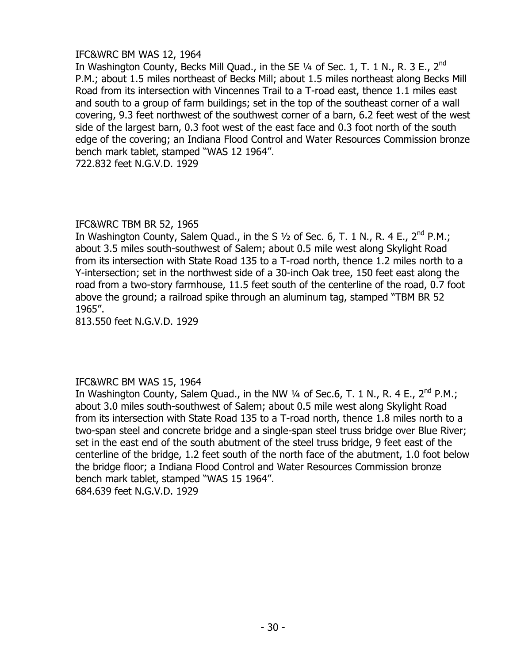### IFC&WRC BM WAS 12, 1964

In Washington County, Becks Mill Quad., in the SE 1⁄4 of Sec. 1, T. 1 N., R. 3 E., 2<sup>nd</sup> P.M.; about 1.5 miles northeast of Becks Mill; about 1.5 miles northeast along Becks Mill Road from its intersection with Vincennes Trail to a T-road east, thence 1.1 miles east and south to a group of farm buildings; set in the top of the southeast corner of a wall covering, 9.3 feet northwest of the southwest corner of a barn, 6.2 feet west of the west side of the largest barn, 0.3 foot west of the east face and 0.3 foot north of the south edge of the covering; an Indiana Flood Control and Water Resources Commission bronze bench mark tablet, stamped "WAS 12 1964".

722.832 feet N.G.V.D. 1929

### IFC&WRC TBM BR 52, 1965

In Washington County, Salem Quad., in the S  $\frac{1}{2}$  of Sec. 6, T. 1 N., R. 4 E., 2<sup>nd</sup> P.M.; about 3.5 miles south-southwest of Salem; about 0.5 mile west along Skylight Road from its intersection with State Road 135 to a T-road north, thence 1.2 miles north to a Y-intersection; set in the northwest side of a 30-inch Oak tree, 150 feet east along the road from a two-story farmhouse, 11.5 feet south of the centerline of the road, 0.7 foot above the ground; a railroad spike through an aluminum tag, stamped "TBM BR 52 1965".

813.550 feet N.G.V.D. 1929

### IFC&WRC BM WAS 15, 1964

In Washington County, Salem Quad., in the NW  $\frac{1}{4}$  of Sec.6, T. 1 N., R. 4 E., 2<sup>nd</sup> P.M.; about 3.0 miles south-southwest of Salem; about 0.5 mile west along Skylight Road from its intersection with State Road 135 to a T-road north, thence 1.8 miles north to a two-span steel and concrete bridge and a single-span steel truss bridge over Blue River; set in the east end of the south abutment of the steel truss bridge, 9 feet east of the centerline of the bridge, 1.2 feet south of the north face of the abutment, 1.0 foot below the bridge floor; a Indiana Flood Control and Water Resources Commission bronze bench mark tablet, stamped "WAS 15 1964". 684.639 feet N.G.V.D. 1929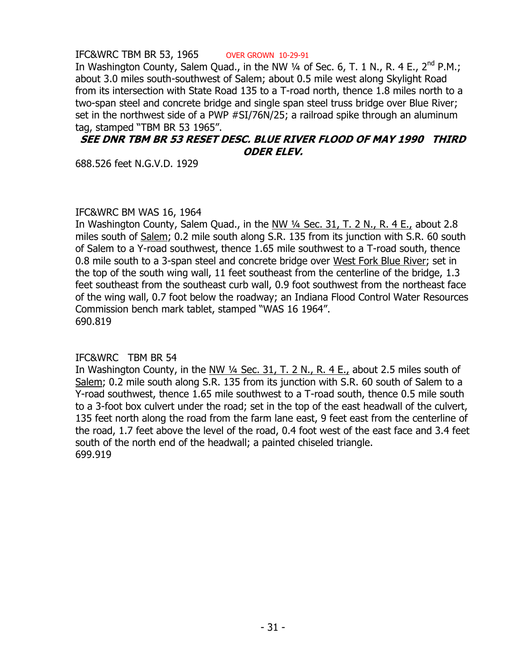IFC&WRC TBM BR 53, 1965 OVER GROWN 10-29-91 In Washington County, Salem Quad., in the NW 1/4 of Sec. 6, T. 1 N., R. 4 E., 2<sup>nd</sup> P.M.; about 3.0 miles south-southwest of Salem; about 0.5 mile west along Skylight Road from its intersection with State Road 135 to a T-road north, thence 1.8 miles north to a two-span steel and concrete bridge and single span steel truss bridge over Blue River; set in the northwest side of a PWP #SI/76N/25; a railroad spike through an aluminum tag, stamped "TBM BR 53 1965".

### **SEE DNR TBM BR 53 RESET DESC. BLUE RIVER FLOOD OF MAY 1990 THIRD ODER ELEV.**

688.526 feet N.G.V.D. 1929

### IFC&WRC BM WAS 16, 1964

In Washington County, Salem Quad., in the NW ¼ Sec. 31, T. 2 N., R. 4 E., about 2.8 miles south of Salem; 0.2 mile south along S.R. 135 from its junction with S.R. 60 south of Salem to a Y-road southwest, thence 1.65 mile southwest to a T-road south, thence 0.8 mile south to a 3-span steel and concrete bridge over West Fork Blue River; set in the top of the south wing wall, 11 feet southeast from the centerline of the bridge, 1.3 feet southeast from the southeast curb wall, 0.9 foot southwest from the northeast face of the wing wall, 0.7 foot below the roadway; an Indiana Flood Control Water Resources Commission bench mark tablet, stamped "WAS 16 1964". 690.819

## IFC&WRC TBM BR 54

In Washington County, in the  $N_{\text{W}}$  1/4 Sec. 31, T. 2 N., R. 4 E., about 2.5 miles south of Salem; 0.2 mile south along S.R. 135 from its junction with S.R. 60 south of Salem to a Y-road southwest, thence 1.65 mile southwest to a T-road south, thence 0.5 mile south to a 3-foot box culvert under the road; set in the top of the east headwall of the culvert, 135 feet north along the road from the farm lane east, 9 feet east from the centerline of the road, 1.7 feet above the level of the road, 0.4 foot west of the east face and 3.4 feet south of the north end of the headwall; a painted chiseled triangle. 699.919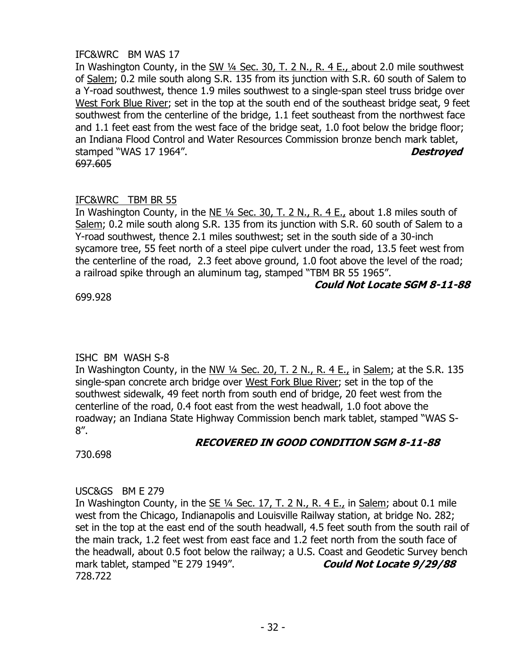## IFC&WRC BM WAS 17

In Washington County, in the  $\frac{\text{SW 1/4} \text{ Sec. 30, T. 2 N. R. 4 E.}}{R.4 E.}$  about 2.0 mile southwest of Salem; 0.2 mile south along S.R. 135 from its junction with S.R. 60 south of Salem to a Y-road southwest, thence 1.9 miles southwest to a single-span steel truss bridge over West Fork Blue River; set in the top at the south end of the southeast bridge seat, 9 feet southwest from the centerline of the bridge, 1.1 feet southeast from the northwest face and 1.1 feet east from the west face of the bridge seat, 1.0 foot below the bridge floor; an Indiana Flood Control and Water Resources Commission bronze bench mark tablet, stamped "WAS 17 1964". **Destroyed** 697.605

## IFC&WRC TBM BR 55

In Washington County, in the NE ¼ Sec. 30, T. 2 N., R. 4 E., about 1.8 miles south of Salem; 0.2 mile south along S.R. 135 from its junction with S.R. 60 south of Salem to a Y-road southwest, thence 2.1 miles southwest; set in the south side of a 30-inch sycamore tree, 55 feet north of a steel pipe culvert under the road, 13.5 feet west from the centerline of the road, 2.3 feet above ground, 1.0 foot above the level of the road; a railroad spike through an aluminum tag, stamped "TBM BR 55 1965".

### **Could Not Locate SGM 8-11-88**

699.928

## ISHC BM WASH S-8

In Washington County, in the NW  $\frac{1}{4}$  Sec. 20, T. 2 N., R. 4 E., in Salem; at the S.R. 135 single-span concrete arch bridge over West Fork Blue River; set in the top of the southwest sidewalk, 49 feet north from south end of bridge, 20 feet west from the centerline of the road, 0.4 foot east from the west headwall, 1.0 foot above the roadway; an Indiana State Highway Commission bench mark tablet, stamped "WAS S-8".

730.698

# **RECOVERED IN GOOD CONDITION SGM 8-11-88**

## USC&GS BM E 279

In Washington County, in the  $SE$  ¼ Sec. 17, T. 2 N., R. 4 E., in Salem; about 0.1 mile west from the Chicago, Indianapolis and Louisville Railway station, at bridge No. 282; set in the top at the east end of the south headwall, 4.5 feet south from the south rail of the main track, 1.2 feet west from east face and 1.2 feet north from the south face of the headwall, about 0.5 foot below the railway; a U.S. Coast and Geodetic Survey bench mark tablet, stamped "E 279 1949". **Could Not Locate 9/29/88** 728.722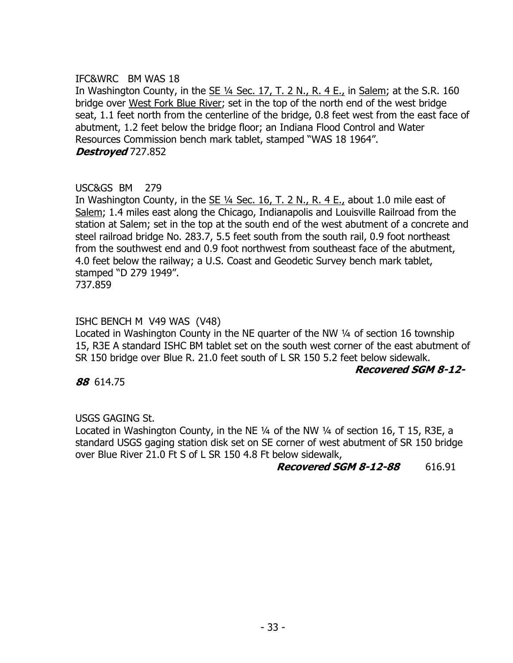### IFC&WRC BM WAS 18

In Washington County, in the SE  $\frac{1}{4}$  Sec. 17, T. 2 N., R. 4 E., in Salem; at the S.R. 160 bridge over West Fork Blue River; set in the top of the north end of the west bridge seat, 1.1 feet north from the centerline of the bridge, 0.8 feet west from the east face of abutment, 1.2 feet below the bridge floor; an Indiana Flood Control and Water Resources Commission bench mark tablet, stamped "WAS 18 1964". **Destroyed** 727.852

## USC&GS BM 279

In Washington County, in the  $SE$   $\frac{1}{4}$  Sec. 16, T. 2 N., R. 4 E., about 1.0 mile east of Salem; 1.4 miles east along the Chicago, Indianapolis and Louisville Railroad from the station at Salem; set in the top at the south end of the west abutment of a concrete and steel railroad bridge No. 283.7, 5.5 feet south from the south rail, 0.9 foot northeast from the southwest end and 0.9 foot northwest from southeast face of the abutment, 4.0 feet below the railway; a U.S. Coast and Geodetic Survey bench mark tablet, stamped "D 279 1949".

737.859

### ISHC BENCH M V49 WAS (V48)

Located in Washington County in the NE quarter of the NW 1/4 of section 16 township 15, R3E A standard ISHC BM tablet set on the south west corner of the east abutment of SR 150 bridge over Blue R. 21.0 feet south of L SR 150 5.2 feet below sidewalk.

### **Recovered SGM 8-12-**

**88** 614.75

### USGS GAGING St.

Located in Washington County, in the NE ¼ of the NW ¼ of section 16, T 15, R3E, a standard USGS gaging station disk set on SE corner of west abutment of SR 150 bridge over Blue River 21.0 Ft S of L SR 150 4.8 Ft below sidewalk,

### **Recovered SGM 8-12-88** 616.91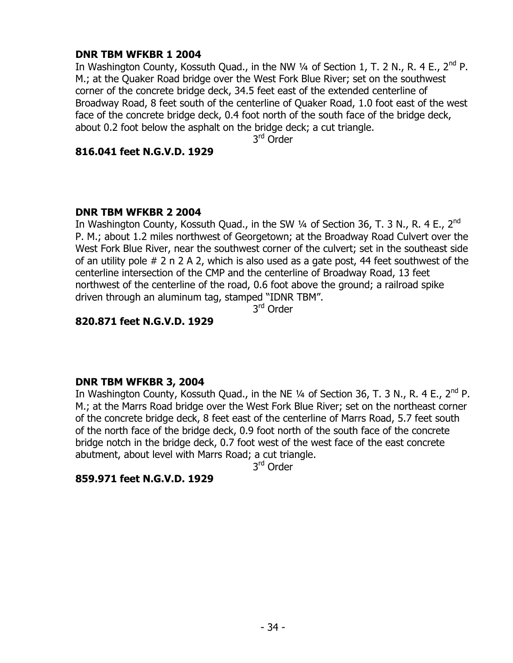### **DNR TBM WFKBR 1 2004**

In Washington County, Kossuth Quad., in the NW  $\frac{1}{4}$  of Section 1, T. 2 N., R. 4 E., 2<sup>nd</sup> P. M.; at the Quaker Road bridge over the West Fork Blue River; set on the southwest corner of the concrete bridge deck, 34.5 feet east of the extended centerline of Broadway Road, 8 feet south of the centerline of Quaker Road, 1.0 foot east of the west face of the concrete bridge deck, 0.4 foot north of the south face of the bridge deck, about 0.2 foot below the asphalt on the bridge deck; a cut triangle.

3<sup>rd</sup> Order

### **816.041 feet N.G.V.D. 1929**

### **DNR TBM WFKBR 2 2004**

In Washington County, Kossuth Quad., in the SW  $\frac{1}{4}$  of Section 36, T. 3 N., R. 4 E., 2<sup>nd</sup> P. M.; about 1.2 miles northwest of Georgetown; at the Broadway Road Culvert over the West Fork Blue River, near the southwest corner of the culvert; set in the southeast side of an utility pole # 2 n 2 A 2, which is also used as a gate post, 44 feet southwest of the centerline intersection of the CMP and the centerline of Broadway Road, 13 feet northwest of the centerline of the road, 0.6 foot above the ground; a railroad spike driven through an aluminum tag, stamped "IDNR TBM".

3<sup>rd</sup> Order

### **820.871 feet N.G.V.D. 1929**

### **DNR TBM WFKBR 3, 2004**

In Washington County, Kossuth Quad., in the NE  $\frac{1}{4}$  of Section 36, T. 3 N., R. 4 E., 2<sup>nd</sup> P. M.; at the Marrs Road bridge over the West Fork Blue River; set on the northeast corner of the concrete bridge deck, 8 feet east of the centerline of Marrs Road, 5.7 feet south of the north face of the bridge deck, 0.9 foot north of the south face of the concrete bridge notch in the bridge deck, 0.7 foot west of the west face of the east concrete abutment, about level with Marrs Road; a cut triangle.

3<sup>rd</sup> Order

### **859.971 feet N.G.V.D. 1929**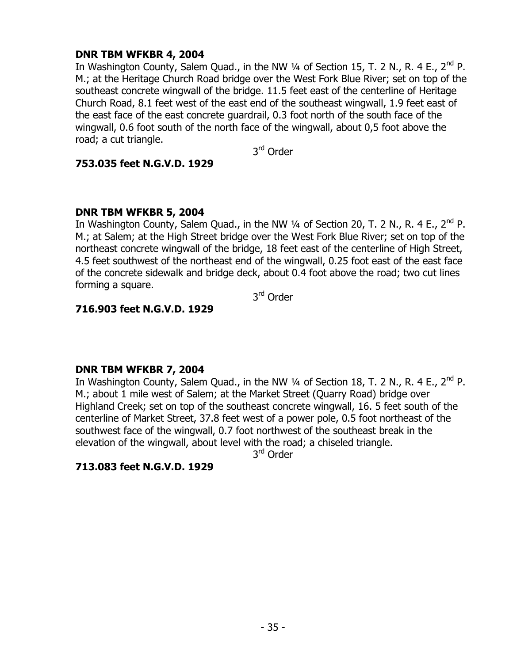## **DNR TBM WFKBR 4, 2004**

In Washington County, Salem Quad., in the NW  $\frac{1}{4}$  of Section 15, T. 2 N., R. 4 E., 2<sup>nd</sup> P. M.; at the Heritage Church Road bridge over the West Fork Blue River; set on top of the southeast concrete wingwall of the bridge. 11.5 feet east of the centerline of Heritage Church Road, 8.1 feet west of the east end of the southeast wingwall, 1.9 feet east of the east face of the east concrete guardrail, 0.3 foot north of the south face of the wingwall, 0.6 foot south of the north face of the wingwall, about 0,5 foot above the road; a cut triangle.

3<sup>rd</sup> Order

### **753.035 feet N.G.V.D. 1929**

### **DNR TBM WFKBR 5, 2004**

In Washington County, Salem Quad., in the NW  $\frac{1}{4}$  of Section 20, T. 2 N., R. 4 E., 2<sup>nd</sup> P. M.; at Salem; at the High Street bridge over the West Fork Blue River; set on top of the northeast concrete wingwall of the bridge, 18 feet east of the centerline of High Street, 4.5 feet southwest of the northeast end of the wingwall, 0.25 foot east of the east face of the concrete sidewalk and bridge deck, about 0.4 foot above the road; two cut lines forming a square.

3<sup>rd</sup> Order

## **716.903 feet N.G.V.D. 1929**

## **DNR TBM WFKBR 7, 2004**

In Washington County, Salem Quad., in the NW  $\frac{1}{4}$  of Section 18, T. 2 N., R. 4 E., 2<sup>nd</sup> P. M.; about 1 mile west of Salem; at the Market Street (Quarry Road) bridge over Highland Creek; set on top of the southeast concrete wingwall, 16. 5 feet south of the centerline of Market Street, 37.8 feet west of a power pole, 0.5 foot northeast of the southwest face of the wingwall, 0.7 foot northwest of the southeast break in the elevation of the wingwall, about level with the road; a chiseled triangle.

3<sup>rd</sup> Order

## **713.083 feet N.G.V.D. 1929**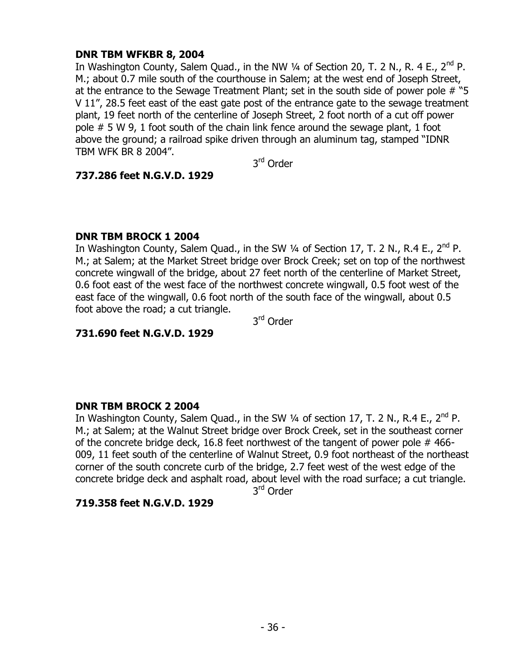## **DNR TBM WFKBR 8, 2004**

In Washington County, Salem Quad., in the NW  $\frac{1}{4}$  of Section 20, T. 2 N., R. 4 E., 2<sup>nd</sup> P. M.; about 0.7 mile south of the courthouse in Salem; at the west end of Joseph Street, at the entrance to the Sewage Treatment Plant; set in the south side of power pole # "5 V 11", 28.5 feet east of the east gate post of the entrance gate to the sewage treatment plant, 19 feet north of the centerline of Joseph Street, 2 foot north of a cut off power pole # 5 W 9, 1 foot south of the chain link fence around the sewage plant, 1 foot above the ground; a railroad spike driven through an aluminum tag, stamped "IDNR TBM WFK BR 8 2004".

3<sup>rd</sup> Order

### **737.286 feet N.G.V.D. 1929**

### **DNR TBM BROCK 1 2004**

In Washington County, Salem Quad., in the SW  $\frac{1}{4}$  of Section 17, T. 2 N., R.4 E., 2<sup>nd</sup> P. M.; at Salem; at the Market Street bridge over Brock Creek; set on top of the northwest concrete wingwall of the bridge, about 27 feet north of the centerline of Market Street, 0.6 foot east of the west face of the northwest concrete wingwall, 0.5 foot west of the east face of the wingwall, 0.6 foot north of the south face of the wingwall, about 0.5 foot above the road; a cut triangle.

3<sup>rd</sup> Order

## **731.690 feet N.G.V.D. 1929**

### **DNR TBM BROCK 2 2004**

In Washington County, Salem Quad., in the SW  $\frac{1}{4}$  of section 17, T. 2 N., R.4 E., 2<sup>nd</sup> P. M.; at Salem; at the Walnut Street bridge over Brock Creek, set in the southeast corner of the concrete bridge deck, 16.8 feet northwest of the tangent of power pole # 466- 009, 11 feet south of the centerline of Walnut Street, 0.9 foot northeast of the northeast corner of the south concrete curb of the bridge, 2.7 feet west of the west edge of the concrete bridge deck and asphalt road, about level with the road surface; a cut triangle.

3<sup>rd</sup> Order

### **719.358 feet N.G.V.D. 1929**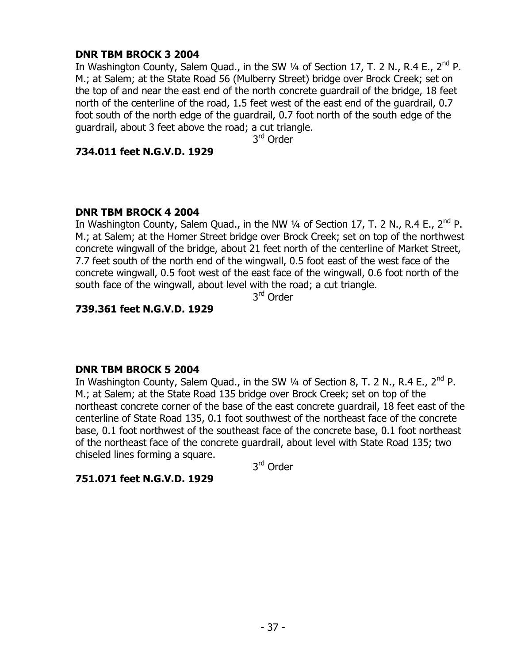### **DNR TBM BROCK 3 2004**

In Washington County, Salem Quad., in the SW  $\frac{1}{4}$  of Section 17, T. 2 N., R.4 E., 2<sup>nd</sup> P. M.; at Salem; at the State Road 56 (Mulberry Street) bridge over Brock Creek; set on the top of and near the east end of the north concrete guardrail of the bridge, 18 feet north of the centerline of the road, 1.5 feet west of the east end of the guardrail, 0.7 foot south of the north edge of the guardrail, 0.7 foot north of the south edge of the guardrail, about 3 feet above the road; a cut triangle.

3<sup>rd</sup> Order

### **734.011 feet N.G.V.D. 1929**

### **DNR TBM BROCK 4 2004**

In Washington County, Salem Quad., in the NW  $\frac{1}{4}$  of Section 17, T. 2 N., R.4 E., 2<sup>nd</sup> P. M.; at Salem; at the Homer Street bridge over Brock Creek; set on top of the northwest concrete wingwall of the bridge, about 21 feet north of the centerline of Market Street, 7.7 feet south of the north end of the wingwall, 0.5 foot east of the west face of the concrete wingwall, 0.5 foot west of the east face of the wingwall, 0.6 foot north of the south face of the wingwall, about level with the road; a cut triangle.

3<sup>rd</sup> Order

## **739.361 feet N.G.V.D. 1929**

## **DNR TBM BROCK 5 2004**

In Washington County, Salem Quad., in the SW  $\frac{1}{4}$  of Section 8, T. 2 N., R.4 E., 2<sup>nd</sup> P. M.; at Salem; at the State Road 135 bridge over Brock Creek; set on top of the northeast concrete corner of the base of the east concrete guardrail, 18 feet east of the centerline of State Road 135, 0.1 foot southwest of the northeast face of the concrete base, 0.1 foot northwest of the southeast face of the concrete base, 0.1 foot northeast of the northeast face of the concrete guardrail, about level with State Road 135; two chiseled lines forming a square.

3<sup>rd</sup> Order

## **751.071 feet N.G.V.D. 1929**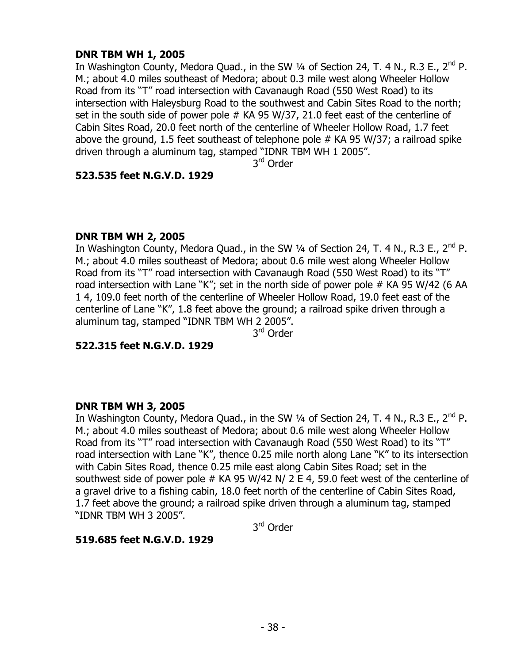## **DNR TBM WH 1, 2005**

In Washington County, Medora Quad., in the SW  $\frac{1}{4}$  of Section 24, T. 4 N., R.3 E., 2<sup>nd</sup> P. M.; about 4.0 miles southeast of Medora; about 0.3 mile west along Wheeler Hollow Road from its "T" road intersection with Cavanaugh Road (550 West Road) to its intersection with Haleysburg Road to the southwest and Cabin Sites Road to the north; set in the south side of power pole # KA 95 W/37, 21.0 feet east of the centerline of Cabin Sites Road, 20.0 feet north of the centerline of Wheeler Hollow Road, 1.7 feet above the ground, 1.5 feet southeast of telephone pole  $#$  KA 95 W/37; a railroad spike driven through a aluminum tag, stamped "IDNR TBM WH 1 2005".

3<sup>rd</sup> Order

### **523.535 feet N.G.V.D. 1929**

## **DNR TBM WH 2, 2005**

In Washington County, Medora Quad., in the SW  $\frac{1}{4}$  of Section 24, T. 4 N., R.3 E., 2<sup>nd</sup> P. M.; about 4.0 miles southeast of Medora; about 0.6 mile west along Wheeler Hollow Road from its "T" road intersection with Cavanaugh Road (550 West Road) to its "T" road intersection with Lane "K"; set in the north side of power pole # KA 95 W/42 (6 AA 1 4, 109.0 feet north of the centerline of Wheeler Hollow Road, 19.0 feet east of the centerline of Lane "K", 1.8 feet above the ground; a railroad spike driven through a aluminum tag, stamped "IDNR TBM WH 2 2005".

3<sup>rd</sup> Order

**522.315 feet N.G.V.D. 1929**

## **DNR TBM WH 3, 2005**

In Washington County, Medora Quad., in the SW  $\frac{1}{4}$  of Section 24, T. 4 N., R.3 E., 2<sup>nd</sup> P. M.; about 4.0 miles southeast of Medora; about 0.6 mile west along Wheeler Hollow Road from its "T" road intersection with Cavanaugh Road (550 West Road) to its "T" road intersection with Lane "K", thence 0.25 mile north along Lane "K" to its intersection with Cabin Sites Road, thence 0.25 mile east along Cabin Sites Road; set in the southwest side of power pole  $#$  KA 95 W/42 N/ 2 E 4, 59.0 feet west of the centerline of a gravel drive to a fishing cabin, 18.0 feet north of the centerline of Cabin Sites Road, 1.7 feet above the ground; a railroad spike driven through a aluminum tag, stamped "IDNR TBM WH 3 2005".

3<sup>rd</sup> Order

## **519.685 feet N.G.V.D. 1929**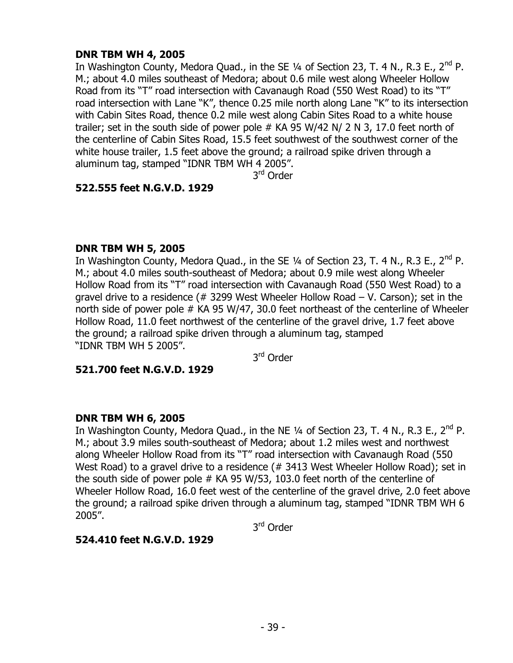## **DNR TBM WH 4, 2005**

In Washington County, Medora Quad., in the SE  $\frac{1}{4}$  of Section 23, T. 4 N., R.3 E., 2<sup>nd</sup> P. M.; about 4.0 miles southeast of Medora; about 0.6 mile west along Wheeler Hollow Road from its "T" road intersection with Cavanaugh Road (550 West Road) to its "T" road intersection with Lane "K", thence 0.25 mile north along Lane "K" to its intersection with Cabin Sites Road, thence 0.2 mile west along Cabin Sites Road to a white house trailer; set in the south side of power pole # KA 95 W/42 N/ 2 N 3, 17.0 feet north of the centerline of Cabin Sites Road, 15.5 feet southwest of the southwest corner of the white house trailer, 1.5 feet above the ground; a railroad spike driven through a aluminum tag, stamped "IDNR TBM WH 4 2005".

3<sup>rd</sup> Order

## **522.555 feet N.G.V.D. 1929**

### **DNR TBM WH 5, 2005**

In Washington County, Medora Quad., in the SE  $\frac{1}{4}$  of Section 23, T. 4 N., R.3 E., 2<sup>nd</sup> P. M.; about 4.0 miles south-southeast of Medora; about 0.9 mile west along Wheeler Hollow Road from its "T" road intersection with Cavanaugh Road (550 West Road) to a gravel drive to a residence (# 3299 West Wheeler Hollow Road – V. Carson); set in the north side of power pole # KA 95 W/47, 30.0 feet northeast of the centerline of Wheeler Hollow Road, 11.0 feet northwest of the centerline of the gravel drive, 1.7 feet above the ground; a railroad spike driven through a aluminum tag, stamped "IDNR TBM WH 5 2005".

3<sup>rd</sup> Order

**521.700 feet N.G.V.D. 1929**

## **DNR TBM WH 6, 2005**

In Washington County, Medora Quad., in the NE  $\frac{1}{4}$  of Section 23, T. 4 N., R.3 E., 2<sup>nd</sup> P. M.; about 3.9 miles south-southeast of Medora; about 1.2 miles west and northwest along Wheeler Hollow Road from its "T" road intersection with Cavanaugh Road (550 West Road) to a gravel drive to a residence (# 3413 West Wheeler Hollow Road); set in the south side of power pole # KA 95 W/53, 103.0 feet north of the centerline of Wheeler Hollow Road, 16.0 feet west of the centerline of the gravel drive, 2.0 feet above the ground; a railroad spike driven through a aluminum tag, stamped "IDNR TBM WH 6 2005".

3<sup>rd</sup> Order

## **524.410 feet N.G.V.D. 1929**